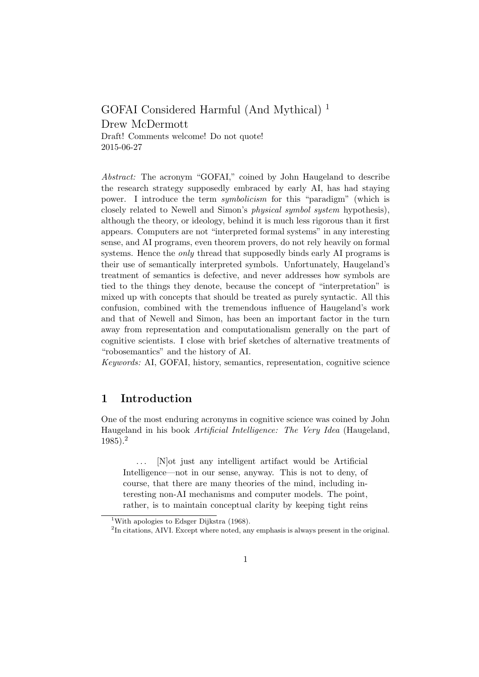GOFAI Considered Harmful (And Mythical) <sup>1</sup> Drew McDermott Draft! Comments welcome! Do not quote! 2015-06-27

Abstract: The acronym "GOFAI," coined by John Haugeland to describe the research strategy supposedly embraced by early AI, has had staying power. I introduce the term symbolicism for this "paradigm" (which is closely related to Newell and Simon's *physical symbol system* hypothesis), although the theory, or ideology, behind it is much less rigorous than it first appears. Computers are not "interpreted formal systems" in any interesting sense, and AI programs, even theorem provers, do not rely heavily on formal systems. Hence the *only* thread that supposedly binds early AI programs is their use of semantically interpreted symbols. Unfortunately, Haugeland's treatment of semantics is defective, and never addresses how symbols are tied to the things they denote, because the concept of "interpretation" is mixed up with concepts that should be treated as purely syntactic. All this confusion, combined with the tremendous influence of Haugeland's work and that of Newell and Simon, has been an important factor in the turn away from representation and computationalism generally on the part of cognitive scientists. I close with brief sketches of alternative treatments of "robosemantics" and the history of AI.

Keywords: AI, GOFAI, history, semantics, representation, cognitive science

## 1 Introduction

One of the most enduring acronyms in cognitive science was coined by John Haugeland in his book Artificial Intelligence: The Very Idea (Haugeland, 1985).<sup>2</sup>

... [N]ot just any intelligent artifact would be Artificial Intelligence—not in our sense, anyway. This is not to deny, of course, that there are many theories of the mind, including interesting non-AI mechanisms and computer models. The point, rather, is to maintain conceptual clarity by keeping tight reins

<sup>&</sup>lt;sup>1</sup>With apologies to Edsger Dijkstra (1968).

<sup>&</sup>lt;sup>2</sup>In citations, AIVI. Except where noted, any emphasis is always present in the original.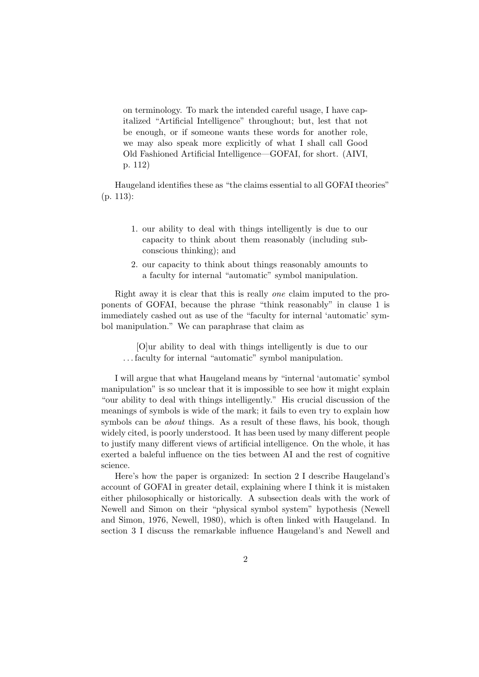on terminology. To mark the intended careful usage, I have capitalized "Artificial Intelligence" throughout; but, lest that not be enough, or if someone wants these words for another role, we may also speak more explicitly of what I shall call Good Old Fashioned Artificial Intelligence—GOFAI, for short. (AIVI, p. 112)

Haugeland identifies these as "the claims essential to all GOFAI theories" (p. 113):

- 1. our ability to deal with things intelligently is due to our capacity to think about them reasonably (including subconscious thinking); and
- 2. our capacity to think about things reasonably amounts to a faculty for internal "automatic" symbol manipulation.

Right away it is clear that this is really one claim imputed to the proponents of GOFAI, because the phrase "think reasonably" in clause 1 is immediately cashed out as use of the "faculty for internal 'automatic' symbol manipulation." We can paraphrase that claim as

[O]ur ability to deal with things intelligently is due to our . . . faculty for internal "automatic" symbol manipulation.

I will argue that what Haugeland means by "internal 'automatic' symbol manipulation" is so unclear that it is impossible to see how it might explain "our ability to deal with things intelligently." His crucial discussion of the meanings of symbols is wide of the mark; it fails to even try to explain how symbols can be *about* things. As a result of these flaws, his book, though widely cited, is poorly understood. It has been used by many different people to justify many different views of artificial intelligence. On the whole, it has exerted a baleful influence on the ties between AI and the rest of cognitive science.

Here's how the paper is organized: In section 2 I describe Haugeland's account of GOFAI in greater detail, explaining where I think it is mistaken either philosophically or historically. A subsection deals with the work of Newell and Simon on their "physical symbol system" hypothesis (Newell and Simon, 1976, Newell, 1980), which is often linked with Haugeland. In section 3 I discuss the remarkable influence Haugeland's and Newell and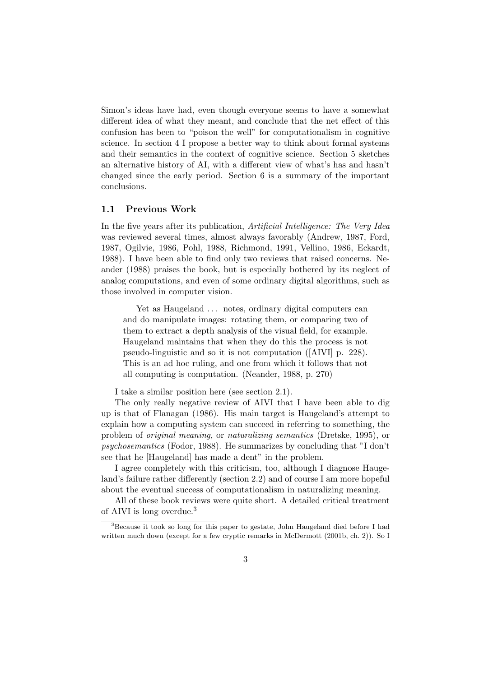Simon's ideas have had, even though everyone seems to have a somewhat different idea of what they meant, and conclude that the net effect of this confusion has been to "poison the well" for computationalism in cognitive science. In section 4 I propose a better way to think about formal systems and their semantics in the context of cognitive science. Section 5 sketches an alternative history of AI, with a different view of what's has and hasn't changed since the early period. Section 6 is a summary of the important conclusions.

#### 1.1 Previous Work

In the five years after its publication, Artificial Intelligence: The Very Idea was reviewed several times, almost always favorably (Andrew, 1987, Ford, 1987, Ogilvie, 1986, Pohl, 1988, Richmond, 1991, Vellino, 1986, Eckardt, 1988). I have been able to find only two reviews that raised concerns. Neander (1988) praises the book, but is especially bothered by its neglect of analog computations, and even of some ordinary digital algorithms, such as those involved in computer vision.

Yet as Haugeland ... notes, ordinary digital computers can and do manipulate images: rotating them, or comparing two of them to extract a depth analysis of the visual field, for example. Haugeland maintains that when they do this the process is not pseudo-linguistic and so it is not computation ([AIVI] p. 228). This is an ad hoc ruling, and one from which it follows that not all computing is computation. (Neander, 1988, p. 270)

I take a similar position here (see section 2.1).

The only really negative review of AIVI that I have been able to dig up is that of Flanagan (1986). His main target is Haugeland's attempt to explain how a computing system can succeed in referring to something, the problem of original meaning, or naturalizing semantics (Dretske, 1995), or psychosemantics (Fodor, 1988). He summarizes by concluding that "I don't see that he [Haugeland] has made a dent" in the problem.

I agree completely with this criticism, too, although I diagnose Haugeland's failure rather differently (section 2.2) and of course I am more hopeful about the eventual success of computationalism in naturalizing meaning.

All of these book reviews were quite short. A detailed critical treatment of AIVI is long overdue.<sup>3</sup>

<sup>3</sup>Because it took so long for this paper to gestate, John Haugeland died before I had written much down (except for a few cryptic remarks in McDermott (2001b, ch. 2)). So I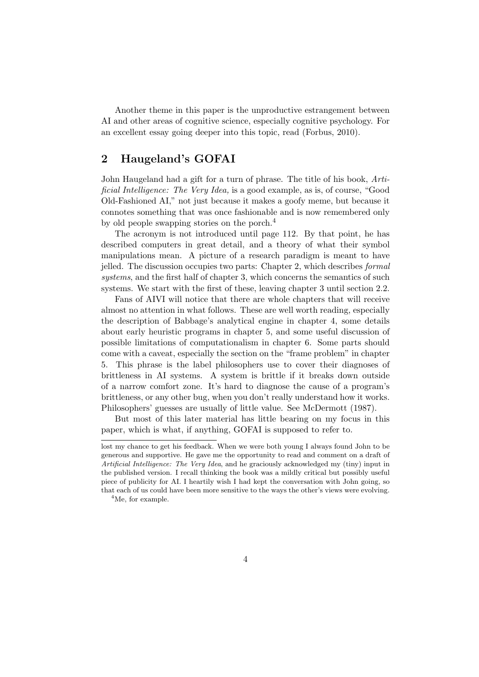Another theme in this paper is the unproductive estrangement between AI and other areas of cognitive science, especially cognitive psychology. For an excellent essay going deeper into this topic, read (Forbus, 2010).

## 2 Haugeland's GOFAI

John Haugeland had a gift for a turn of phrase. The title of his book, Artificial Intelligence: The Very Idea, is a good example, as is, of course, "Good Old-Fashioned AI," not just because it makes a goofy meme, but because it connotes something that was once fashionable and is now remembered only by old people swapping stories on the porch.<sup>4</sup>

The acronym is not introduced until page 112. By that point, he has described computers in great detail, and a theory of what their symbol manipulations mean. A picture of a research paradigm is meant to have jelled. The discussion occupies two parts: Chapter 2, which describes formal systems, and the first half of chapter 3, which concerns the semantics of such systems. We start with the first of these, leaving chapter 3 until section 2.2.

Fans of AIVI will notice that there are whole chapters that will receive almost no attention in what follows. These are well worth reading, especially the description of Babbage's analytical engine in chapter 4, some details about early heuristic programs in chapter 5, and some useful discussion of possible limitations of computationalism in chapter 6. Some parts should come with a caveat, especially the section on the "frame problem" in chapter 5. This phrase is the label philosophers use to cover their diagnoses of brittleness in AI systems. A system is brittle if it breaks down outside of a narrow comfort zone. It's hard to diagnose the cause of a program's brittleness, or any other bug, when you don't really understand how it works. Philosophers' guesses are usually of little value. See McDermott (1987).

But most of this later material has little bearing on my focus in this paper, which is what, if anything, GOFAI is supposed to refer to.

<sup>4</sup>Me, for example.

lost my chance to get his feedback. When we were both young I always found John to be generous and supportive. He gave me the opportunity to read and comment on a draft of Artificial Intelligence: The Very Idea, and he graciously acknowledged my (tiny) input in the published version. I recall thinking the book was a mildly critical but possibly useful piece of publicity for AI. I heartily wish I had kept the conversation with John going, so that each of us could have been more sensitive to the ways the other's views were evolving.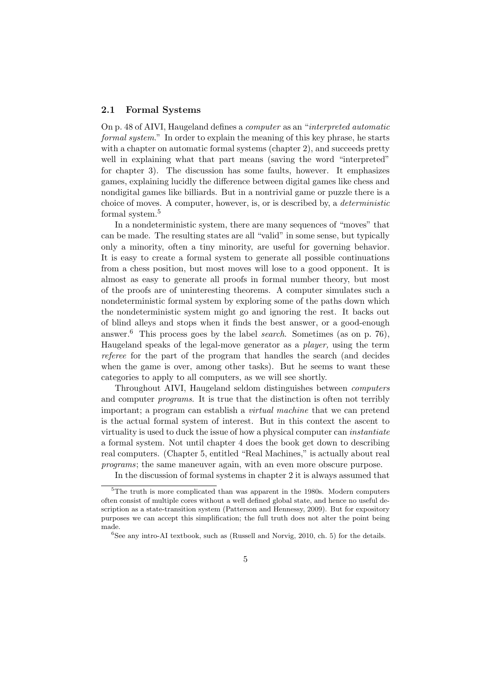#### 2.1 Formal Systems

On p. 48 of AIVI, Haugeland defines a computer as an "interpreted automatic formal system." In order to explain the meaning of this key phrase, he starts with a chapter on automatic formal systems (chapter 2), and succeeds pretty well in explaining what that part means (saving the word "interpreted" for chapter 3). The discussion has some faults, however. It emphasizes games, explaining lucidly the difference between digital games like chess and nondigital games like billiards. But in a nontrivial game or puzzle there is a choice of moves. A computer, however, is, or is described by, a deterministic formal system.<sup>5</sup>

In a nondeterministic system, there are many sequences of "moves" that can be made. The resulting states are all "valid" in some sense, but typically only a minority, often a tiny minority, are useful for governing behavior. It is easy to create a formal system to generate all possible continuations from a chess position, but most moves will lose to a good opponent. It is almost as easy to generate all proofs in formal number theory, but most of the proofs are of uninteresting theorems. A computer simulates such a nondeterministic formal system by exploring some of the paths down which the nondeterministic system might go and ignoring the rest. It backs out of blind alleys and stops when it finds the best answer, or a good-enough answer.<sup>6</sup> This process goes by the label *search*. Sometimes (as on p. 76), Haugeland speaks of the legal-move generator as a player, using the term referee for the part of the program that handles the search (and decides when the game is over, among other tasks). But he seems to want these categories to apply to all computers, as we will see shortly.

Throughout AIVI, Haugeland seldom distinguishes between computers and computer programs. It is true that the distinction is often not terribly important; a program can establish a *virtual machine* that we can pretend is the actual formal system of interest. But in this context the ascent to virtuality is used to duck the issue of how a physical computer can instantiate a formal system. Not until chapter 4 does the book get down to describing real computers. (Chapter 5, entitled "Real Machines," is actually about real programs; the same maneuver again, with an even more obscure purpose.

In the discussion of formal systems in chapter 2 it is always assumed that

<sup>5</sup>The truth is more complicated than was apparent in the 1980s. Modern computers often consist of multiple cores without a well defined global state, and hence no useful description as a state-transition system (Patterson and Hennessy, 2009). But for expository purposes we can accept this simplification; the full truth does not alter the point being made.

 ${}^{6}$ See any intro-AI textbook, such as (Russell and Norvig, 2010, ch. 5) for the details.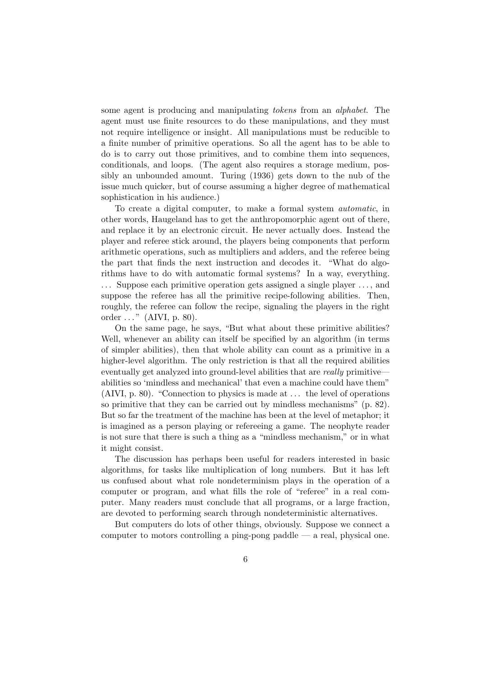some agent is producing and manipulating tokens from an alphabet. The agent must use finite resources to do these manipulations, and they must not require intelligence or insight. All manipulations must be reducible to a finite number of primitive operations. So all the agent has to be able to do is to carry out those primitives, and to combine them into sequences, conditionals, and loops. (The agent also requires a storage medium, possibly an unbounded amount. Turing (1936) gets down to the nub of the issue much quicker, but of course assuming a higher degree of mathematical sophistication in his audience.)

To create a digital computer, to make a formal system automatic, in other words, Haugeland has to get the anthropomorphic agent out of there, and replace it by an electronic circuit. He never actually does. Instead the player and referee stick around, the players being components that perform arithmetic operations, such as multipliers and adders, and the referee being the part that finds the next instruction and decodes it. "What do algorithms have to do with automatic formal systems? In a way, everything. . . . Suppose each primitive operation gets assigned a single player . . . , and suppose the referee has all the primitive recipe-following abilities. Then, roughly, the referee can follow the recipe, signaling the players in the right order  $\dots$ " (AIVI, p. 80).

On the same page, he says, "But what about these primitive abilities? Well, whenever an ability can itself be specified by an algorithm (in terms of simpler abilities), then that whole ability can count as a primitive in a higher-level algorithm. The only restriction is that all the required abilities eventually get analyzed into ground-level abilities that are really primitive abilities so 'mindless and mechanical' that even a machine could have them" (AIVI, p. 80). "Connection to physics is made at . . . the level of operations so primitive that they can be carried out by mindless mechanisms" (p. 82). But so far the treatment of the machine has been at the level of metaphor; it is imagined as a person playing or refereeing a game. The neophyte reader is not sure that there is such a thing as a "mindless mechanism," or in what it might consist.

The discussion has perhaps been useful for readers interested in basic algorithms, for tasks like multiplication of long numbers. But it has left us confused about what role nondeterminism plays in the operation of a computer or program, and what fills the role of "referee" in a real computer. Many readers must conclude that all programs, or a large fraction, are devoted to performing search through nondeterministic alternatives.

But computers do lots of other things, obviously. Suppose we connect a computer to motors controlling a ping-pong paddle — a real, physical one.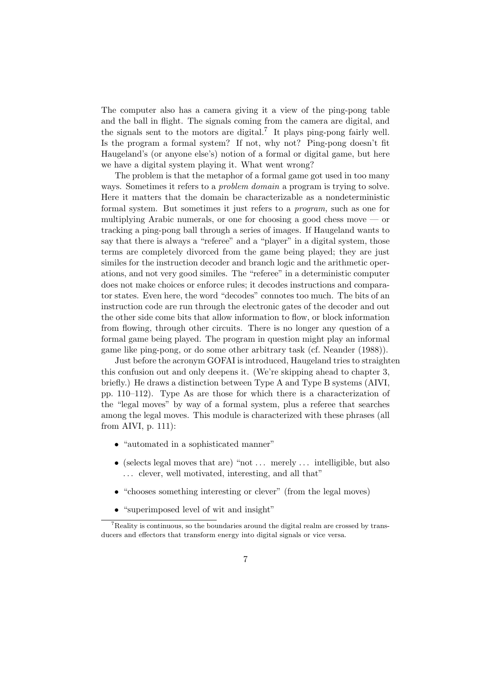The computer also has a camera giving it a view of the ping-pong table and the ball in flight. The signals coming from the camera are digital, and the signals sent to the motors are digital.<sup>7</sup> It plays ping-pong fairly well. Is the program a formal system? If not, why not? Ping-pong doesn't fit Haugeland's (or anyone else's) notion of a formal or digital game, but here we have a digital system playing it. What went wrong?

The problem is that the metaphor of a formal game got used in too many ways. Sometimes it refers to a problem domain a program is trying to solve. Here it matters that the domain be characterizable as a nondeterministic formal system. But sometimes it just refers to a program, such as one for multiplying Arabic numerals, or one for choosing a good chess move — or tracking a ping-pong ball through a series of images. If Haugeland wants to say that there is always a "referee" and a "player" in a digital system, those terms are completely divorced from the game being played; they are just similes for the instruction decoder and branch logic and the arithmetic operations, and not very good similes. The "referee" in a deterministic computer does not make choices or enforce rules; it decodes instructions and comparator states. Even here, the word "decodes" connotes too much. The bits of an instruction code are run through the electronic gates of the decoder and out the other side come bits that allow information to flow, or block information from flowing, through other circuits. There is no longer any question of a formal game being played. The program in question might play an informal game like ping-pong, or do some other arbitrary task (cf. Neander (1988)).

Just before the acronym GOFAI is introduced, Haugeland tries to straighten this confusion out and only deepens it. (We're skipping ahead to chapter 3, briefly.) He draws a distinction between Type A and Type B systems (AIVI, pp. 110–112). Type As are those for which there is a characterization of the "legal moves" by way of a formal system, plus a referee that searches among the legal moves. This module is characterized with these phrases (all from AIVI, p. 111):

- "automated in a sophisticated manner"
- (selects legal moves that are) "not  $\dots$  merely  $\dots$  intelligible, but also ... clever, well motivated, interesting, and all that"
- "chooses something interesting or clever" (from the legal moves)
- "superimposed level of wit and insight"

<sup>7</sup>Reality is continuous, so the boundaries around the digital realm are crossed by transducers and effectors that transform energy into digital signals or vice versa.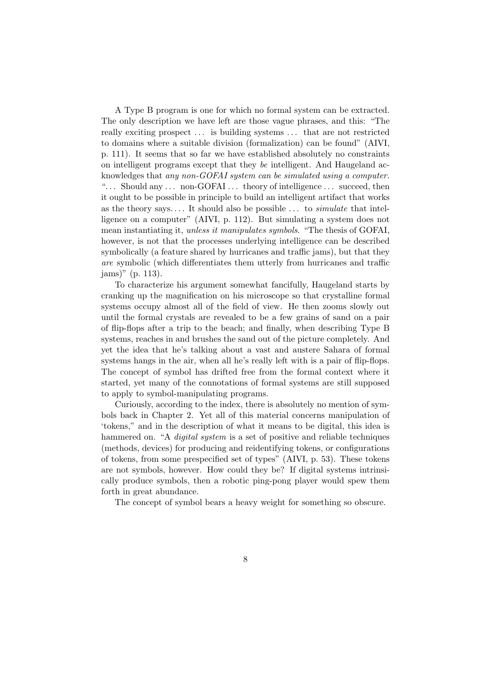A Type B program is one for which no formal system can be extracted. The only description we have left are those vague phrases, and this: "The really exciting prospect . . . is building systems . . . that are not restricted to domains where a suitable division (formalization) can be found" (AIVI, p. 111). It seems that so far we have established absolutely no constraints on intelligent programs except that they be intelligent. And Haugeland acknowledges that any non-GOFAI system can be simulated using a computer. "... Should any ... non-GOFAI... theory of intelligence ... succeed, then it ought to be possible in principle to build an intelligent artifact that works as the theory says.... It should also be possible  $\ldots$  to *simulate* that intelligence on a computer" (AIVI, p. 112). But simulating a system does not mean instantiating it, unless it manipulates symbols. "The thesis of GOFAI, however, is not that the processes underlying intelligence can be described symbolically (a feature shared by hurricanes and traffic jams), but that they are symbolic (which differentiates them utterly from hurricanes and traffic jams)" (p. 113).

To characterize his argument somewhat fancifully, Haugeland starts by cranking up the magnification on his microscope so that crystalline formal systems occupy almost all of the field of view. He then zooms slowly out until the formal crystals are revealed to be a few grains of sand on a pair of flip-flops after a trip to the beach; and finally, when describing Type B systems, reaches in and brushes the sand out of the picture completely. And yet the idea that he's talking about a vast and austere Sahara of formal systems hangs in the air, when all he's really left with is a pair of flip-flops. The concept of symbol has drifted free from the formal context where it started, yet many of the connotations of formal systems are still supposed to apply to symbol-manipulating programs.

Curiously, according to the index, there is absolutely no mention of symbols back in Chapter 2. Yet all of this material concerns manipulation of 'tokens," and in the description of what it means to be digital, this idea is hammered on. "A *digital system* is a set of positive and reliable techniques (methods, devices) for producing and reidentifying tokens, or configurations of tokens, from some prespecified set of types" (AIVI, p. 53). These tokens are not symbols, however. How could they be? If digital systems intrinsically produce symbols, then a robotic ping-pong player would spew them forth in great abundance.

The concept of symbol bears a heavy weight for something so obscure.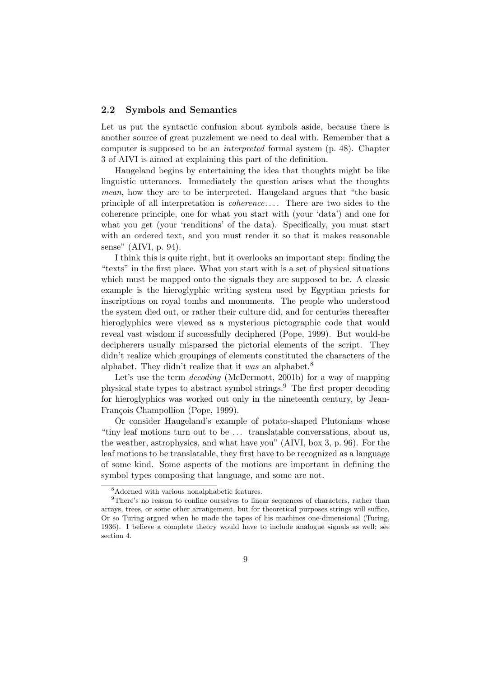#### 2.2 Symbols and Semantics

Let us put the syntactic confusion about symbols aside, because there is another source of great puzzlement we need to deal with. Remember that a computer is supposed to be an interpreted formal system (p. 48). Chapter 3 of AIVI is aimed at explaining this part of the definition.

Haugeland begins by entertaining the idea that thoughts might be like linguistic utterances. Immediately the question arises what the thoughts mean, how they are to be interpreted. Haugeland argues that "the basic principle of all interpretation is *coherence*.... There are two sides to the coherence principle, one for what you start with (your 'data') and one for what you get (your 'renditions' of the data). Specifically, you must start with an ordered text, and you must render it so that it makes reasonable sense" (AIVI, p. 94).

I think this is quite right, but it overlooks an important step: finding the "texts" in the first place. What you start with is a set of physical situations which must be mapped onto the signals they are supposed to be. A classic example is the hieroglyphic writing system used by Egyptian priests for inscriptions on royal tombs and monuments. The people who understood the system died out, or rather their culture did, and for centuries thereafter hieroglyphics were viewed as a mysterious pictographic code that would reveal vast wisdom if successfully deciphered (Pope, 1999). But would-be decipherers usually misparsed the pictorial elements of the script. They didn't realize which groupings of elements constituted the characters of the alphabet. They didn't realize that it was an alphabet.<sup>8</sup>

Let's use the term *decoding* (McDermott, 2001b) for a way of mapping physical state types to abstract symbol strings.<sup>9</sup> The first proper decoding for hieroglyphics was worked out only in the nineteenth century, by Jean-François Champollion (Pope, 1999).

Or consider Haugeland's example of potato-shaped Plutonians whose "tiny leaf motions turn out to be . . . translatable conversations, about us, the weather, astrophysics, and what have you" (AIVI, box 3, p. 96). For the leaf motions to be translatable, they first have to be recognized as a language of some kind. Some aspects of the motions are important in defining the symbol types composing that language, and some are not.

<sup>8</sup>Adorned with various nonalphabetic features.

<sup>&</sup>lt;sup>9</sup>There's no reason to confine ourselves to linear sequences of characters, rather than arrays, trees, or some other arrangement, but for theoretical purposes strings will suffice. Or so Turing argued when he made the tapes of his machines one-dimensional (Turing, 1936). I believe a complete theory would have to include analogue signals as well; see section 4.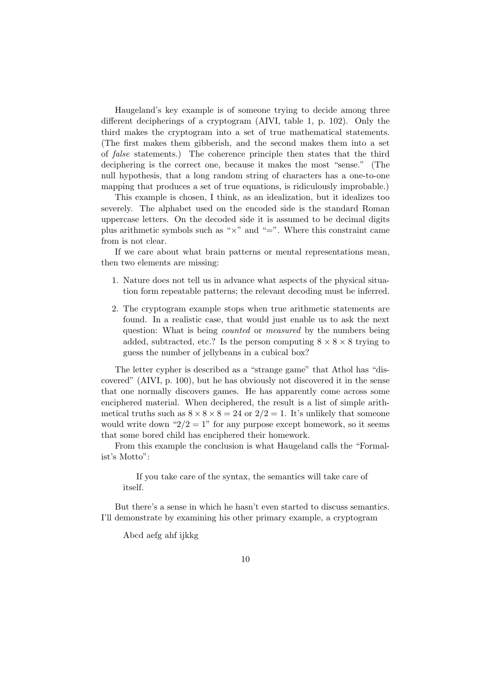Haugeland's key example is of someone trying to decide among three different decipherings of a cryptogram (AIVI, table 1, p. 102). Only the third makes the cryptogram into a set of true mathematical statements. (The first makes them gibberish, and the second makes them into a set of false statements.) The coherence principle then states that the third deciphering is the correct one, because it makes the most "sense." (The null hypothesis, that a long random string of characters has a one-to-one mapping that produces a set of true equations, is ridiculously improbable.)

This example is chosen, I think, as an idealization, but it idealizes too severely. The alphabet used on the encoded side is the standard Roman uppercase letters. On the decoded side it is assumed to be decimal digits plus arithmetic symbols such as " $\times$ " and "=". Where this constraint came from is not clear.

If we care about what brain patterns or mental representations mean, then two elements are missing:

- 1. Nature does not tell us in advance what aspects of the physical situation form repeatable patterns; the relevant decoding must be inferred.
- 2. The cryptogram example stops when true arithmetic statements are found. In a realistic case, that would just enable us to ask the next question: What is being *counted* or *measured* by the numbers being added, subtracted, etc.? Is the person computing  $8 \times 8 \times 8$  trying to guess the number of jellybeans in a cubical box?

The letter cypher is described as a "strange game" that Athol has "discovered" (AIVI, p. 100), but he has obviously not discovered it in the sense that one normally discovers games. He has apparently come across some enciphered material. When deciphered, the result is a list of simple arithmetical truths such as  $8 \times 8 \times 8 = 24$  or  $2/2 = 1$ . It's unlikely that someone would write down " $2/2 = 1$ " for any purpose except homework, so it seems that some bored child has enciphered their homework.

From this example the conclusion is what Haugeland calls the "Formalist's Motto":

If you take care of the syntax, the semantics will take care of itself.

But there's a sense in which he hasn't even started to discuss semantics. I'll demonstrate by examining his other primary example, a cryptogram

Abcd aefg ahf ijkkg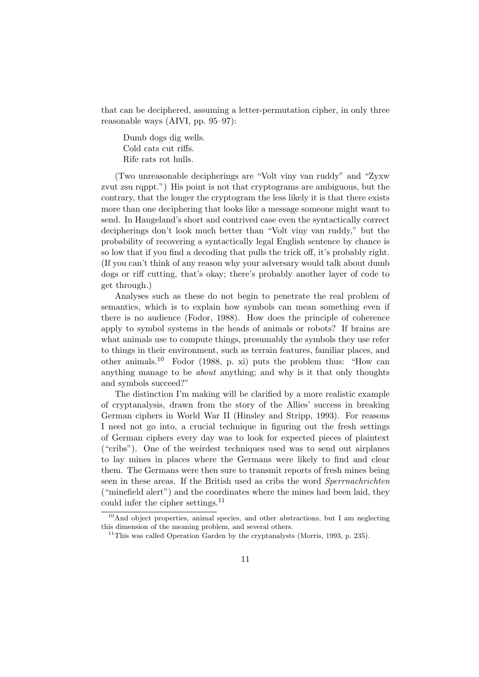that can be deciphered, assuming a letter-permutation cipher, in only three reasonable ways (AIVI, pp. 95–97):

Dumb dogs dig wells. Cold cats cut riffs. Rife rats rot hulls.

(Two unreasonable decipherings are "Volt viny van ruddy" and "Zyxw zvut zsu rqppt.") His point is not that cryptograms are ambiguous, but the contrary, that the longer the cryptogram the less likely it is that there exists more than one deciphering that looks like a message someone might want to send. In Haugeland's short and contrived case even the syntactically correct decipherings don't look much better than "Volt viny van ruddy," but the probability of recovering a syntactically legal English sentence by chance is so low that if you find a decoding that pulls the trick off, it's probably right. (If you can't think of any reason why your adversary would talk about dumb dogs or riff cutting, that's okay; there's probably another layer of code to get through.)

Analyses such as these do not begin to penetrate the real problem of semantics, which is to explain how symbols can mean something even if there is no audience (Fodor, 1988). How does the principle of coherence apply to symbol systems in the heads of animals or robots? If brains are what animals use to compute things, presumably the symbols they use refer to things in their environment, such as terrain features, familiar places, and other animals.<sup>10</sup> Fodor (1988, p. xi) puts the problem thus: "How can anything manage to be about anything; and why is it that only thoughts and symbols succeed?"

The distinction I'm making will be clarified by a more realistic example of cryptanalysis, drawn from the story of the Allies' success in breaking German ciphers in World War II (Hinsley and Stripp, 1993). For reasons I need not go into, a crucial technique in figuring out the fresh settings of German ciphers every day was to look for expected pieces of plaintext ("cribs"). One of the weirdest techniques used was to send out airplanes to lay mines in places where the Germans were likely to find and clear them. The Germans were then sure to transmit reports of fresh mines being seen in these areas. If the British used as cribs the word Sperrnachrichten ("minefield alert") and the coordinates where the mines had been laid, they could infer the cipher settings.<sup>11</sup>

 $10$ And object properties, animal species, and other abstractions, but I am neglecting this dimension of the meaning problem, and several others.

 $11$ This was called Operation Garden by the cryptanalysts (Morris, 1993, p. 235).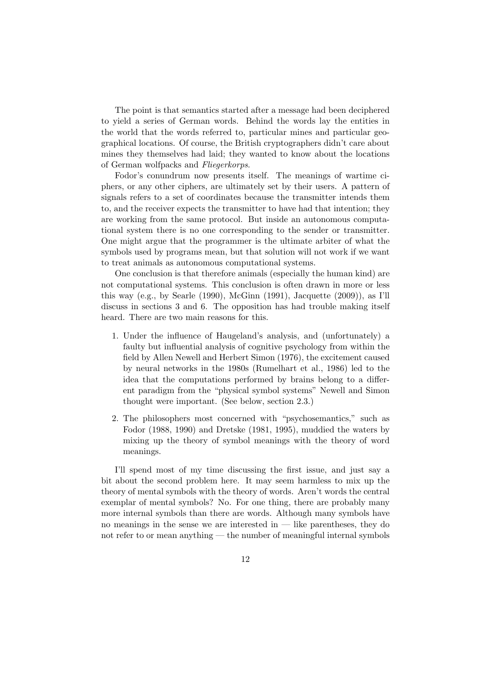The point is that semantics started after a message had been deciphered to yield a series of German words. Behind the words lay the entities in the world that the words referred to, particular mines and particular geographical locations. Of course, the British cryptographers didn't care about mines they themselves had laid; they wanted to know about the locations of German wolfpacks and Fliegerkorps.

Fodor's conundrum now presents itself. The meanings of wartime ciphers, or any other ciphers, are ultimately set by their users. A pattern of signals refers to a set of coordinates because the transmitter intends them to, and the receiver expects the transmitter to have had that intention; they are working from the same protocol. But inside an autonomous computational system there is no one corresponding to the sender or transmitter. One might argue that the programmer is the ultimate arbiter of what the symbols used by programs mean, but that solution will not work if we want to treat animals as autonomous computational systems.

One conclusion is that therefore animals (especially the human kind) are not computational systems. This conclusion is often drawn in more or less this way (e.g., by Searle (1990), McGinn (1991), Jacquette (2009)), as I'll discuss in sections 3 and 6. The opposition has had trouble making itself heard. There are two main reasons for this.

- 1. Under the influence of Haugeland's analysis, and (unfortunately) a faulty but influential analysis of cognitive psychology from within the field by Allen Newell and Herbert Simon (1976), the excitement caused by neural networks in the 1980s (Rumelhart et al., 1986) led to the idea that the computations performed by brains belong to a different paradigm from the "physical symbol systems" Newell and Simon thought were important. (See below, section 2.3.)
- 2. The philosophers most concerned with "psychosemantics," such as Fodor (1988, 1990) and Dretske (1981, 1995), muddied the waters by mixing up the theory of symbol meanings with the theory of word meanings.

I'll spend most of my time discussing the first issue, and just say a bit about the second problem here. It may seem harmless to mix up the theory of mental symbols with the theory of words. Aren't words the central exemplar of mental symbols? No. For one thing, there are probably many more internal symbols than there are words. Although many symbols have no meanings in the sense we are interested in  $-$  like parentheses, they do not refer to or mean anything — the number of meaningful internal symbols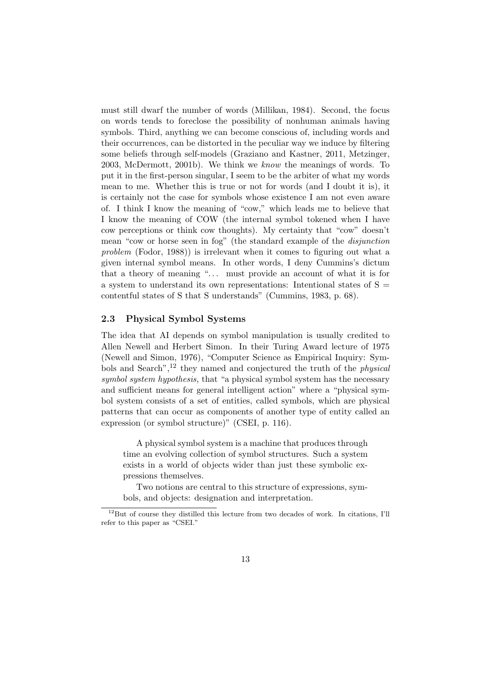must still dwarf the number of words (Millikan, 1984). Second, the focus on words tends to foreclose the possibility of nonhuman animals having symbols. Third, anything we can become conscious of, including words and their occurrences, can be distorted in the peculiar way we induce by filtering some beliefs through self-models (Graziano and Kastner, 2011, Metzinger, 2003, McDermott, 2001b). We think we know the meanings of words. To put it in the first-person singular, I seem to be the arbiter of what my words mean to me. Whether this is true or not for words (and I doubt it is), it is certainly not the case for symbols whose existence I am not even aware of. I think I know the meaning of "cow," which leads me to believe that I know the meaning of COW (the internal symbol tokened when I have cow perceptions or think cow thoughts). My certainty that "cow" doesn't mean "cow or horse seen in fog" (the standard example of the disjunction problem (Fodor, 1988)) is irrelevant when it comes to figuring out what a given internal symbol means. In other words, I deny Cummins's dictum that a theory of meaning "... must provide an account of what it is for a system to understand its own representations: Intentional states of  $S =$ contentful states of S that S understands" (Cummins, 1983, p. 68).

#### 2.3 Physical Symbol Systems

The idea that AI depends on symbol manipulation is usually credited to Allen Newell and Herbert Simon. In their Turing Award lecture of 1975 (Newell and Simon, 1976), "Computer Science as Empirical Inquiry: Symbols and Search",<sup>12</sup> they named and conjectured the truth of the physical symbol system hypothesis, that "a physical symbol system has the necessary and sufficient means for general intelligent action" where a "physical symbol system consists of a set of entities, called symbols, which are physical patterns that can occur as components of another type of entity called an expression (or symbol structure)" (CSEI, p. 116).

A physical symbol system is a machine that produces through time an evolving collection of symbol structures. Such a system exists in a world of objects wider than just these symbolic expressions themselves.

Two notions are central to this structure of expressions, symbols, and objects: designation and interpretation.

<sup>12</sup>But of course they distilled this lecture from two decades of work. In citations, I'll refer to this paper as "CSEI."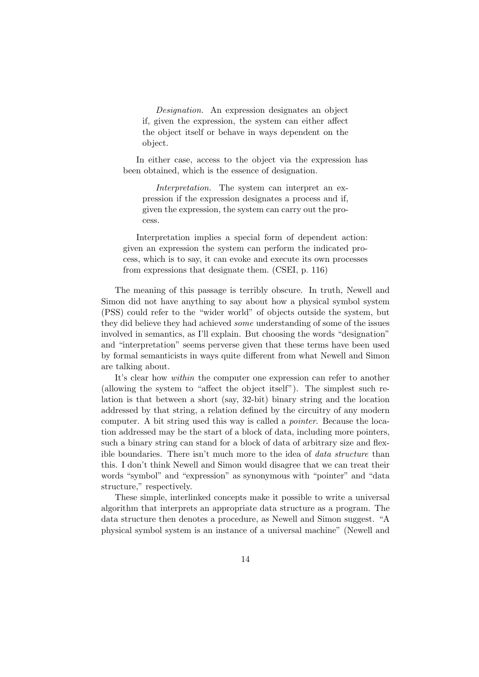Designation. An expression designates an object if, given the expression, the system can either affect the object itself or behave in ways dependent on the object.

In either case, access to the object via the expression has been obtained, which is the essence of designation.

Interpretation. The system can interpret an expression if the expression designates a process and if, given the expression, the system can carry out the process.

Interpretation implies a special form of dependent action: given an expression the system can perform the indicated process, which is to say, it can evoke and execute its own processes from expressions that designate them. (CSEI, p. 116)

The meaning of this passage is terribly obscure. In truth, Newell and Simon did not have anything to say about how a physical symbol system (PSS) could refer to the "wider world" of objects outside the system, but they did believe they had achieved some understanding of some of the issues involved in semantics, as I'll explain. But choosing the words "designation" and "interpretation" seems perverse given that these terms have been used by formal semanticists in ways quite different from what Newell and Simon are talking about.

It's clear how *within* the computer one expression can refer to another (allowing the system to "affect the object itself"). The simplest such relation is that between a short (say, 32-bit) binary string and the location addressed by that string, a relation defined by the circuitry of any modern computer. A bit string used this way is called a pointer. Because the location addressed may be the start of a block of data, including more pointers, such a binary string can stand for a block of data of arbitrary size and flexible boundaries. There isn't much more to the idea of data structure than this. I don't think Newell and Simon would disagree that we can treat their words "symbol" and "expression" as synonymous with "pointer" and "data structure," respectively.

These simple, interlinked concepts make it possible to write a universal algorithm that interprets an appropriate data structure as a program. The data structure then denotes a procedure, as Newell and Simon suggest. "A physical symbol system is an instance of a universal machine" (Newell and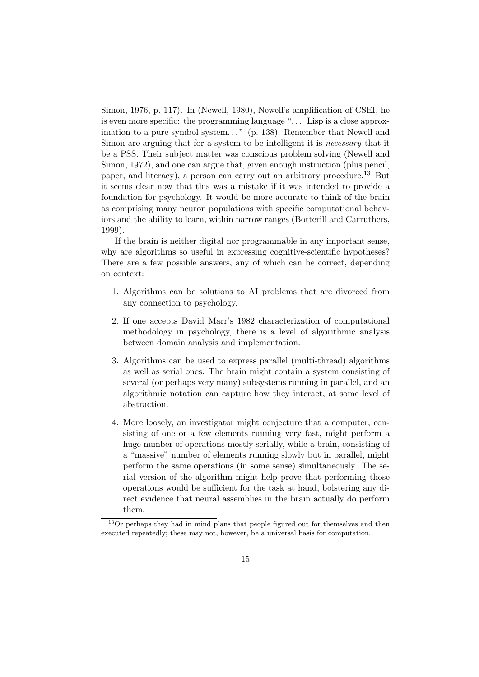Simon, 1976, p. 117). In (Newell, 1980), Newell's amplification of CSEI, he is even more specific: the programming language ". . . Lisp is a close approximation to a pure symbol system..." (p. 138). Remember that Newell and Simon are arguing that for a system to be intelligent it is necessary that it be a PSS. Their subject matter was conscious problem solving (Newell and Simon, 1972), and one can argue that, given enough instruction (plus pencil, paper, and literacy), a person can carry out an arbitrary procedure.<sup>13</sup> But it seems clear now that this was a mistake if it was intended to provide a foundation for psychology. It would be more accurate to think of the brain as comprising many neuron populations with specific computational behaviors and the ability to learn, within narrow ranges (Botterill and Carruthers, 1999).

If the brain is neither digital nor programmable in any important sense, why are algorithms so useful in expressing cognitive-scientific hypotheses? There are a few possible answers, any of which can be correct, depending on context:

- 1. Algorithms can be solutions to AI problems that are divorced from any connection to psychology.
- 2. If one accepts David Marr's 1982 characterization of computational methodology in psychology, there is a level of algorithmic analysis between domain analysis and implementation.
- 3. Algorithms can be used to express parallel (multi-thread) algorithms as well as serial ones. The brain might contain a system consisting of several (or perhaps very many) subsystems running in parallel, and an algorithmic notation can capture how they interact, at some level of abstraction.
- 4. More loosely, an investigator might conjecture that a computer, consisting of one or a few elements running very fast, might perform a huge number of operations mostly serially, while a brain, consisting of a "massive" number of elements running slowly but in parallel, might perform the same operations (in some sense) simultaneously. The serial version of the algorithm might help prove that performing those operations would be sufficient for the task at hand, bolstering any direct evidence that neural assemblies in the brain actually do perform them.

<sup>&</sup>lt;sup>13</sup>Or perhaps they had in mind plans that people figured out for themselves and then executed repeatedly; these may not, however, be a universal basis for computation.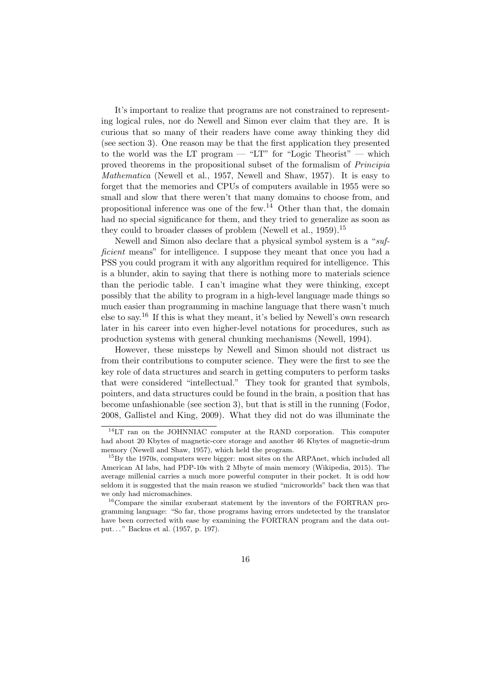It's important to realize that programs are not constrained to representing logical rules, nor do Newell and Simon ever claim that they are. It is curious that so many of their readers have come away thinking they did (see section 3). One reason may be that the first application they presented to the world was the LT program — "LT" for "Logic Theorist" — which proved theorems in the propositional subset of the formalism of Principia Mathematica (Newell et al., 1957, Newell and Shaw, 1957). It is easy to forget that the memories and CPUs of computers available in 1955 were so small and slow that there weren't that many domains to choose from, and propositional inference was one of the few.<sup>14</sup> Other than that, the domain had no special significance for them, and they tried to generalize as soon as they could to broader classes of problem (Newell et al.,  $1959$ ).<sup>15</sup>

Newell and Simon also declare that a physical symbol system is a "sufficient means" for intelligence. I suppose they meant that once you had a PSS you could program it with any algorithm required for intelligence. This is a blunder, akin to saying that there is nothing more to materials science than the periodic table. I can't imagine what they were thinking, except possibly that the ability to program in a high-level language made things so much easier than programming in machine language that there wasn't much else to say.<sup>16</sup> If this is what they meant, it's belied by Newell's own research later in his career into even higher-level notations for procedures, such as production systems with general chunking mechanisms (Newell, 1994).

However, these missteps by Newell and Simon should not distract us from their contributions to computer science. They were the first to see the key role of data structures and search in getting computers to perform tasks that were considered "intellectual." They took for granted that symbols, pointers, and data structures could be found in the brain, a position that has become unfashionable (see section 3), but that is still in the running (Fodor, 2008, Gallistel and King, 2009). What they did not do was illuminate the

<sup>14</sup>LT ran on the JOHNNIAC computer at the RAND corporation. This computer had about 20 Kbytes of magnetic-core storage and another 46 Kbytes of magnetic-drum memory (Newell and Shaw, 1957), which held the program.

<sup>&</sup>lt;sup>15</sup>By the 1970s, computers were bigger: most sites on the ARPAnet, which included all American AI labs, had PDP-10s with 2 Mbyte of main memory (Wikipedia, 2015). The average millenial carries a much more powerful computer in their pocket. It is odd how seldom it is suggested that the main reason we studied "microworlds" back then was that we only had micromachines.

<sup>&</sup>lt;sup>16</sup>Compare the similar exuberant statement by the inventors of the FORTRAN programming language: "So far, those programs having errors undetected by the translator have been corrected with ease by examining the FORTRAN program and the data output. . . " Backus et al. (1957, p. 197).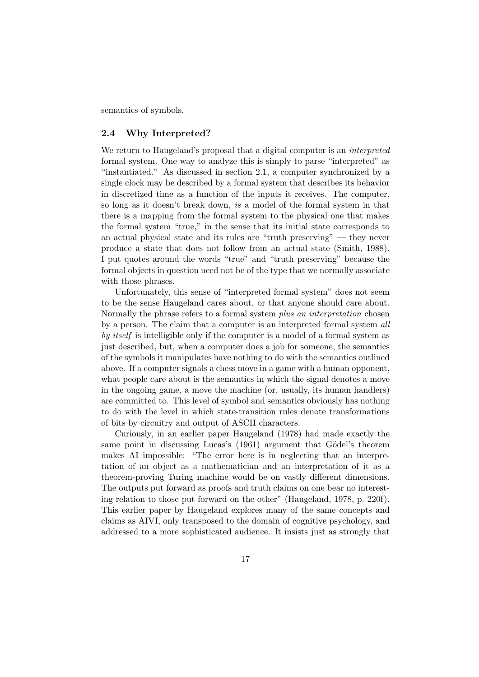semantics of symbols.

#### 2.4 Why Interpreted?

We return to Haugeland's proposal that a digital computer is an *interpreted* formal system. One way to analyze this is simply to parse "interpreted" as "instantiated." As discussed in section 2.1, a computer synchronized by a single clock may be described by a formal system that describes its behavior in discretized time as a function of the inputs it receives. The computer, so long as it doesn't break down, is a model of the formal system in that there is a mapping from the formal system to the physical one that makes the formal system "true," in the sense that its initial state corresponds to an actual physical state and its rules are "truth preserving" — they never produce a state that does not follow from an actual state (Smith, 1988). I put quotes around the words "true" and "truth preserving" because the formal objects in question need not be of the type that we normally associate with those phrases.

Unfortunately, this sense of "interpreted formal system" does not seem to be the sense Haugeland cares about, or that anyone should care about. Normally the phrase refers to a formal system plus an interpretation chosen by a person. The claim that a computer is an interpreted formal system all by *itself* is intelligible only if the computer is a model of a formal system as just described, but, when a computer does a job for someone, the semantics of the symbols it manipulates have nothing to do with the semantics outlined above. If a computer signals a chess move in a game with a human opponent, what people care about is the semantics in which the signal denotes a move in the ongoing game, a move the machine (or, usually, its human handlers) are committed to. This level of symbol and semantics obviously has nothing to do with the level in which state-transition rules denote transformations of bits by circuitry and output of ASCII characters.

Curiously, in an earlier paper Haugeland (1978) had made exactly the same point in discussing Lucas's  $(1961)$  argument that Gödel's theorem makes AI impossible: "The error here is in neglecting that an interpretation of an object as a mathematician and an interpretation of it as a theorem-proving Turing machine would be on vastly different dimensions. The outputs put forward as proofs and truth claims on one bear no interesting relation to those put forward on the other" (Haugeland, 1978, p. 220f). This earlier paper by Haugeland explores many of the same concepts and claims as AIVI, only transposed to the domain of cognitive psychology, and addressed to a more sophisticated audience. It insists just as strongly that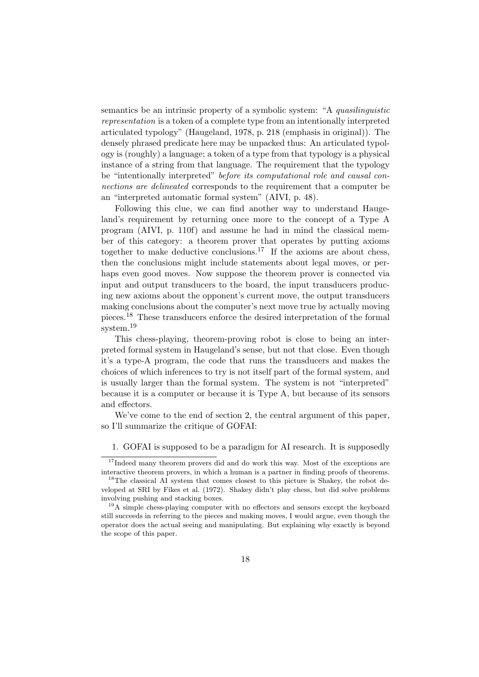semantics be an intrinsic property of a symbolic system: "A quasilinguistic representation is a token of a complete type from an intentionally interpreted articulated typology" (Haugeland, 1978, p. 218 (emphasis in original)). The densely phrased predicate here may be unpacked thus: An articulated typology is (roughly) a language; a token of a type from that typology is a physical instance of a string from that language. The requirement that the typology be "intentionally interpreted" before its computational role and causal connections are delineated corresponds to the requirement that a computer be an "interpreted automatic formal system" (AIVI, p. 48).

Following this clue, we can find another way to understand Haugeland's requirement by returning once more to the concept of a Type A program (AIVI, p. 110f) and assume he had in mind the classical member of this category: a theorem prover that operates by putting axioms together to make deductive conclusions.<sup>17</sup> If the axioms are about chess, then the conclusions might include statements about legal moves, or perhaps even good moves. Now suppose the theorem prover is connected via input and output transducers to the board, the input transducers producing new axioms about the opponent's current move, the output transducers making conclusions about the computer's next move true by actually moving pieces.<sup>18</sup> These transducers enforce the desired interpretation of the formal system.<sup>19</sup>

This chess-playing, theorem-proving robot is close to being an interpreted formal system in Haugeland's sense, but not that close. Even though it's a type-A program, the code that runs the transducers and makes the choices of which inferences to try is not itself part of the formal system, and is usually larger than the formal system. The system is not "interpreted" because it is a computer or because it is Type A, but because of its sensors and effectors.

We've come to the end of section 2, the central argument of this paper, so I'll summarize the critique of GOFAI:

1. GOFAI is supposed to be a paradigm for AI research. It is supposedly

<sup>&</sup>lt;sup>17</sup>Indeed many theorem provers did and do work this way. Most of the exceptions are interactive theorem provers, in which a human is a partner in finding proofs of theorems.

<sup>&</sup>lt;sup>18</sup>The classical AI system that comes closest to this picture is Shakey, the robot developed at SRI by Fikes et al. (1972). Shakey didn't play chess, but did solve problems involving pushing and stacking boxes.

 $19A$  simple chess-playing computer with no effectors and sensors except the keyboard still succeeds in referring to the pieces and making moves, I would argue, even though the operator does the actual seeing and manipulating. But explaining why exactly is beyond the scope of this paper.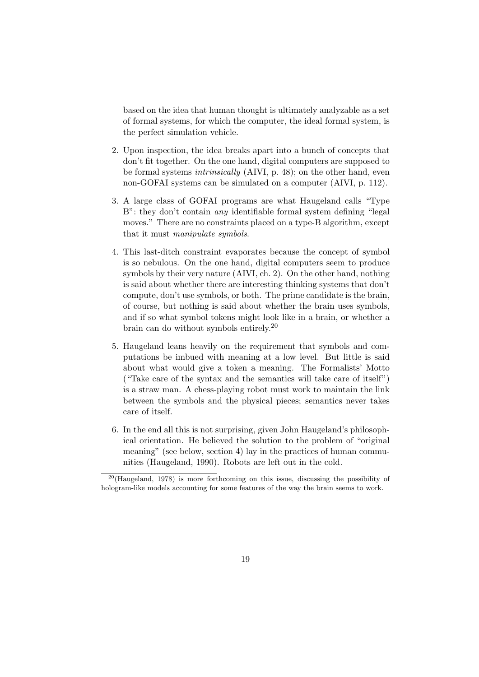based on the idea that human thought is ultimately analyzable as a set of formal systems, for which the computer, the ideal formal system, is the perfect simulation vehicle.

- 2. Upon inspection, the idea breaks apart into a bunch of concepts that don't fit together. On the one hand, digital computers are supposed to be formal systems intrinsically (AIVI, p. 48); on the other hand, even non-GOFAI systems can be simulated on a computer (AIVI, p. 112).
- 3. A large class of GOFAI programs are what Haugeland calls "Type B": they don't contain *any* identifiable formal system defining "legal" moves." There are no constraints placed on a type-B algorithm, except that it must manipulate symbols.
- 4. This last-ditch constraint evaporates because the concept of symbol is so nebulous. On the one hand, digital computers seem to produce symbols by their very nature (AIVI, ch. 2). On the other hand, nothing is said about whether there are interesting thinking systems that don't compute, don't use symbols, or both. The prime candidate is the brain, of course, but nothing is said about whether the brain uses symbols, and if so what symbol tokens might look like in a brain, or whether a brain can do without symbols entirely.<sup>20</sup>
- 5. Haugeland leans heavily on the requirement that symbols and computations be imbued with meaning at a low level. But little is said about what would give a token a meaning. The Formalists' Motto ("Take care of the syntax and the semantics will take care of itself") is a straw man. A chess-playing robot must work to maintain the link between the symbols and the physical pieces; semantics never takes care of itself.
- 6. In the end all this is not surprising, given John Haugeland's philosophical orientation. He believed the solution to the problem of "original meaning" (see below, section 4) lay in the practices of human communities (Haugeland, 1990). Robots are left out in the cold.

 $20$ (Haugeland, 1978) is more forthcoming on this issue, discussing the possibility of hologram-like models accounting for some features of the way the brain seems to work.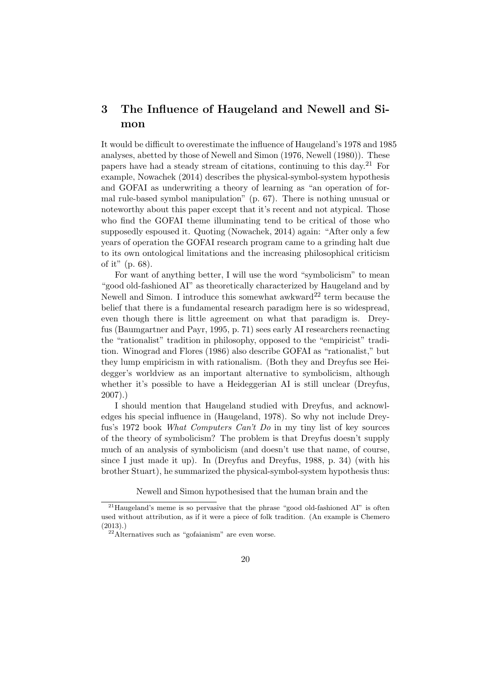# 3 The Influence of Haugeland and Newell and Simon

It would be difficult to overestimate the influence of Haugeland's 1978 and 1985 analyses, abetted by those of Newell and Simon (1976, Newell (1980)). These papers have had a steady stream of citations, continuing to this day.<sup>21</sup> For example, Nowachek (2014) describes the physical-symbol-system hypothesis and GOFAI as underwriting a theory of learning as "an operation of formal rule-based symbol manipulation" (p. 67). There is nothing unusual or noteworthy about this paper except that it's recent and not atypical. Those who find the GOFAI theme illuminating tend to be critical of those who supposedly espoused it. Quoting (Nowachek, 2014) again: "After only a few years of operation the GOFAI research program came to a grinding halt due to its own ontological limitations and the increasing philosophical criticism of it" (p. 68).

For want of anything better, I will use the word "symbolicism" to mean "good old-fashioned AI" as theoretically characterized by Haugeland and by Newell and Simon. I introduce this somewhat awkward<sup>22</sup> term because the belief that there is a fundamental research paradigm here is so widespread, even though there is little agreement on what that paradigm is. Dreyfus (Baumgartner and Payr, 1995, p. 71) sees early AI researchers reenacting the "rationalist" tradition in philosophy, opposed to the "empiricist" tradition. Winograd and Flores (1986) also describe GOFAI as "rationalist," but they lump empiricism in with rationalism. (Both they and Dreyfus see Heidegger's worldview as an important alternative to symbolicism, although whether it's possible to have a Heideggerian AI is still unclear (Dreyfus, 2007).)

I should mention that Haugeland studied with Dreyfus, and acknowledges his special influence in (Haugeland, 1978). So why not include Dreyfus's 1972 book What Computers Can't Do in my tiny list of key sources of the theory of symbolicism? The problem is that Dreyfus doesn't supply much of an analysis of symbolicism (and doesn't use that name, of course, since I just made it up). In (Dreyfus and Dreyfus, 1988, p. 34) (with his brother Stuart), he summarized the physical-symbol-system hypothesis thus:

Newell and Simon hypothesised that the human brain and the

<sup>&</sup>lt;sup>21</sup> Haugeland's meme is so pervasive that the phrase "good old-fashioned AI" is often used without attribution, as if it were a piece of folk tradition. (An example is Chemero (2013).)

<sup>22</sup>Alternatives such as "gofaianism" are even worse.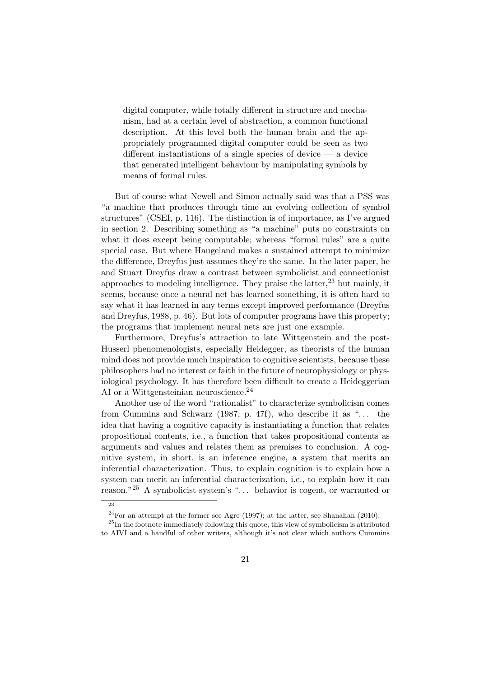digital computer, while totally different in structure and mechanism, had at a certain level of abstraction, a common functional description. At this level both the human brain and the appropriately programmed digital computer could be seen as two different instantiations of a single species of device  $-$  a device that generated intelligent behaviour by manipulating symbols by means of formal rules.

But of course what Newell and Simon actually said was that a PSS was "a machine that produces through time an evolving collection of symbol structures" (CSEI, p. 116). The distinction is of importance, as I've argued in section 2. Describing something as "a machine" puts no constraints on what it does except being computable; whereas "formal rules" are a quite special case. But where Haugeland makes a sustained attempt to minimize the difference, Dreyfus just assumes they're the same. In the later paper, he and Stuart Dreyfus draw a contrast between symbolicist and connectionist approaches to modeling intelligence. They praise the latter,  $23$  but mainly, it seems, because once a neural net has learned something, it is often hard to say what it has learned in any terms except improved performance (Dreyfus and Dreyfus, 1988, p. 46). But lots of computer programs have this property; the programs that implement neural nets are just one example.

Furthermore, Dreyfus's attraction to late Wittgenstein and the post-Husserl phenomenologists, especially Heidegger, as theorists of the human mind does not provide much inspiration to cognitive scientists, because these philosophers had no interest or faith in the future of neurophysiology or physiological psychology. It has therefore been difficult to create a Heideggerian AI or a Wittgensteinian neuroscience.  $^{24}$ 

Another use of the word "rationalist" to characterize symbolicism comes from Cummins and Schwarz  $(1987, p. 47f)$ , who describe it as "... the idea that having a cognitive capacity is instantiating a function that relates propositional contents, i.e., a function that takes propositional contents as arguments and values and relates them as premises to conclusion. A cognitive system, in short, is an inference engine, a system that merits an inferential characterization. Thus, to explain cognition is to explain how a system can merit an inferential characterization, i.e., to explain how it can reason."<sup>25</sup> A symbolicist system's ". . . behavior is cogent, or warranted or

<sup>23</sup>

 $^{24}$ For an attempt at the former see Agre (1997); at the latter, see Shanahan (2010).

 $^{25}$ In the footnote immediately following this quote, this view of symbolicism is attributed to AIVI and a handful of other writers, although it's not clear which authors Cummins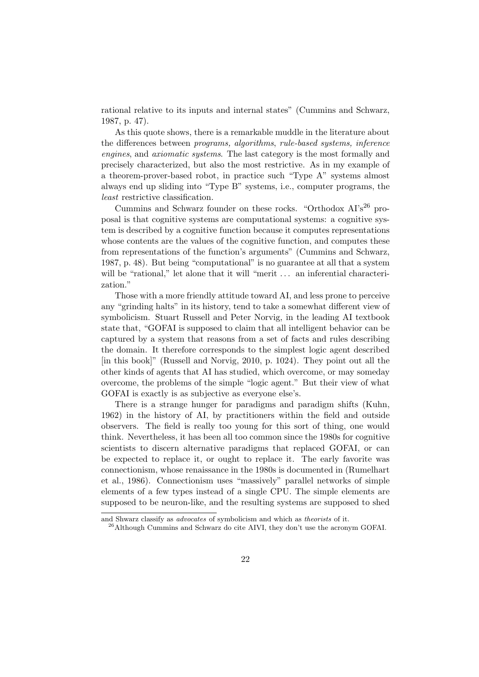rational relative to its inputs and internal states" (Cummins and Schwarz, 1987, p. 47).

As this quote shows, there is a remarkable muddle in the literature about the differences between programs, algorithms, rule-based systems, inference engines, and axiomatic systems. The last category is the most formally and precisely characterized, but also the most restrictive. As in my example of a theorem-prover-based robot, in practice such "Type A" systems almost always end up sliding into "Type B" systems, i.e., computer programs, the least restrictive classification.

Cummins and Schwarz founder on these rocks. "Orthodox AI's<sup>26</sup> proposal is that cognitive systems are computational systems: a cognitive system is described by a cognitive function because it computes representations whose contents are the values of the cognitive function, and computes these from representations of the function's arguments" (Cummins and Schwarz, 1987, p. 48). But being "computational" is no guarantee at all that a system will be "rational," let alone that it will "merit ... an inferential characterization."

Those with a more friendly attitude toward AI, and less prone to perceive any "grinding halts" in its history, tend to take a somewhat different view of symbolicism. Stuart Russell and Peter Norvig, in the leading AI textbook state that, "GOFAI is supposed to claim that all intelligent behavior can be captured by a system that reasons from a set of facts and rules describing the domain. It therefore corresponds to the simplest logic agent described [in this book]" (Russell and Norvig, 2010, p. 1024). They point out all the other kinds of agents that AI has studied, which overcome, or may someday overcome, the problems of the simple "logic agent." But their view of what GOFAI is exactly is as subjective as everyone else's.

There is a strange hunger for paradigms and paradigm shifts (Kuhn, 1962) in the history of AI, by practitioners within the field and outside observers. The field is really too young for this sort of thing, one would think. Nevertheless, it has been all too common since the 1980s for cognitive scientists to discern alternative paradigms that replaced GOFAI, or can be expected to replace it, or ought to replace it. The early favorite was connectionism, whose renaissance in the 1980s is documented in (Rumelhart et al., 1986). Connectionism uses "massively" parallel networks of simple elements of a few types instead of a single CPU. The simple elements are supposed to be neuron-like, and the resulting systems are supposed to shed

and Shwarz classify as advocates of symbolicism and which as theorists of it.

<sup>26</sup>Although Cummins and Schwarz do cite AIVI, they don't use the acronym GOFAI.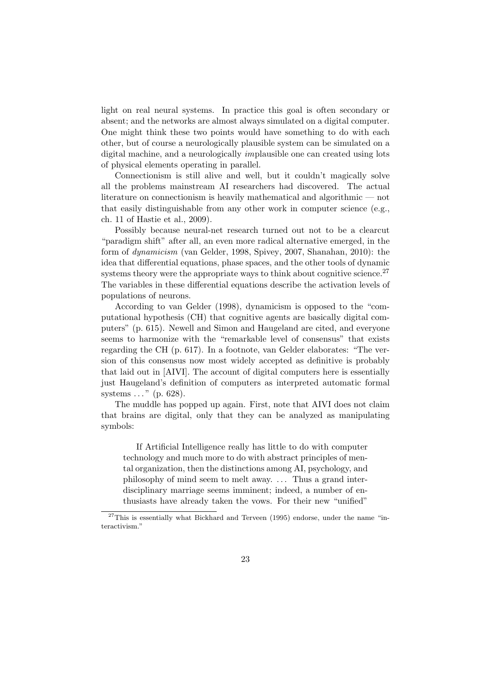light on real neural systems. In practice this goal is often secondary or absent; and the networks are almost always simulated on a digital computer. One might think these two points would have something to do with each other, but of course a neurologically plausible system can be simulated on a digital machine, and a neurologically implausible one can created using lots of physical elements operating in parallel.

Connectionism is still alive and well, but it couldn't magically solve all the problems mainstream AI researchers had discovered. The actual literature on connectionism is heavily mathematical and algorithmic — not that easily distinguishable from any other work in computer science (e.g., ch. 11 of Hastie et al., 2009).

Possibly because neural-net research turned out not to be a clearcut "paradigm shift" after all, an even more radical alternative emerged, in the form of dynamicism (van Gelder, 1998, Spivey, 2007, Shanahan, 2010): the idea that differential equations, phase spaces, and the other tools of dynamic systems theory were the appropriate ways to think about cognitive science.<sup>27</sup> The variables in these differential equations describe the activation levels of populations of neurons.

According to van Gelder (1998), dynamicism is opposed to the "computational hypothesis (CH) that cognitive agents are basically digital computers" (p. 615). Newell and Simon and Haugeland are cited, and everyone seems to harmonize with the "remarkable level of consensus" that exists regarding the CH (p. 617). In a footnote, van Gelder elaborates: "The version of this consensus now most widely accepted as definitive is probably that laid out in [AIVI]. The account of digital computers here is essentially just Haugeland's definition of computers as interpreted automatic formal systems ..." (p. 628).

The muddle has popped up again. First, note that AIVI does not claim that brains are digital, only that they can be analyzed as manipulating symbols:

If Artificial Intelligence really has little to do with computer technology and much more to do with abstract principles of mental organization, then the distinctions among AI, psychology, and philosophy of mind seem to melt away. . . . Thus a grand interdisciplinary marriage seems imminent; indeed, a number of enthusiasts have already taken the vows. For their new "unified"

 $27$ This is essentially what Bickhard and Terveen (1995) endorse, under the name "interactivism."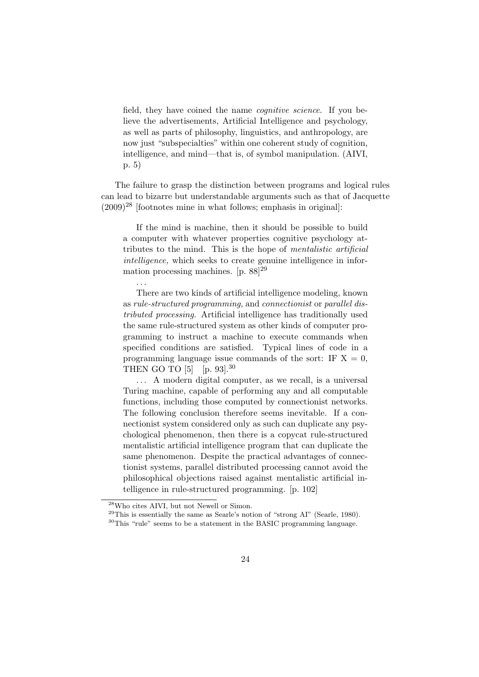field, they have coined the name *cognitive science*. If you believe the advertisements, Artificial Intelligence and psychology, as well as parts of philosophy, linguistics, and anthropology, are now just "subspecialties" within one coherent study of cognition, intelligence, and mind—that is, of symbol manipulation. (AIVI, p. 5)

The failure to grasp the distinction between programs and logical rules can lead to bizarre but understandable arguments such as that of Jacquette  $(2009)^{28}$  [footnotes mine in what follows; emphasis in original]:

If the mind is machine, then it should be possible to build a computer with whatever properties cognitive psychology attributes to the mind. This is the hope of mentalistic artificial intelligence, which seeks to create genuine intelligence in information processing machines.  $[p. 88]^{29}$ 

There are two kinds of artificial intelligence modeling, known as rule-structured programming, and connectionist or parallel distributed processing. Artificial intelligence has traditionally used the same rule-structured system as other kinds of computer programming to instruct a machine to execute commands when specified conditions are satisfied. Typical lines of code in a programming language issue commands of the sort: IF  $X = 0$ , THEN GO TO  $[5]$   $[p. 93]$ .<sup>30</sup>

. . . A modern digital computer, as we recall, is a universal Turing machine, capable of performing any and all computable functions, including those computed by connectionist networks. The following conclusion therefore seems inevitable. If a connectionist system considered only as such can duplicate any psychological phenomenon, then there is a copycat rule-structured mentalistic artificial intelligence program that can duplicate the same phenomenon. Despite the practical advantages of connectionist systems, parallel distributed processing cannot avoid the philosophical objections raised against mentalistic artificial intelligence in rule-structured programming. [p. 102]

. . .

<sup>28</sup>Who cites AIVI, but not Newell or Simon.

 $^{29}$ This is essentially the same as Searle's notion of "strong AI" (Searle, 1980).

<sup>&</sup>lt;sup>30</sup>This "rule" seems to be a statement in the BASIC programming language.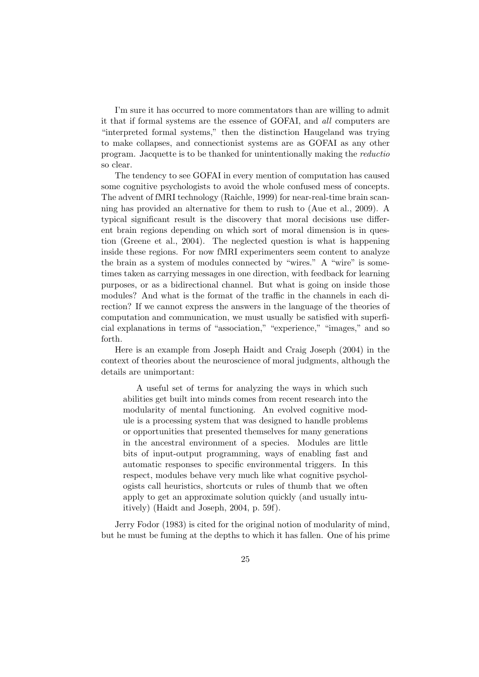I'm sure it has occurred to more commentators than are willing to admit it that if formal systems are the essence of GOFAI, and all computers are "interpreted formal systems," then the distinction Haugeland was trying to make collapses, and connectionist systems are as GOFAI as any other program. Jacquette is to be thanked for unintentionally making the reductio so clear.

The tendency to see GOFAI in every mention of computation has caused some cognitive psychologists to avoid the whole confused mess of concepts. The advent of fMRI technology (Raichle, 1999) for near-real-time brain scanning has provided an alternative for them to rush to (Aue et al., 2009). A typical significant result is the discovery that moral decisions use different brain regions depending on which sort of moral dimension is in question (Greene et al., 2004). The neglected question is what is happening inside these regions. For now fMRI experimenters seem content to analyze the brain as a system of modules connected by "wires." A "wire" is sometimes taken as carrying messages in one direction, with feedback for learning purposes, or as a bidirectional channel. But what is going on inside those modules? And what is the format of the traffic in the channels in each direction? If we cannot express the answers in the language of the theories of computation and communication, we must usually be satisfied with superficial explanations in terms of "association," "experience," "images," and so forth.

Here is an example from Joseph Haidt and Craig Joseph (2004) in the context of theories about the neuroscience of moral judgments, although the details are unimportant:

A useful set of terms for analyzing the ways in which such abilities get built into minds comes from recent research into the modularity of mental functioning. An evolved cognitive module is a processing system that was designed to handle problems or opportunities that presented themselves for many generations in the ancestral environment of a species. Modules are little bits of input-output programming, ways of enabling fast and automatic responses to specific environmental triggers. In this respect, modules behave very much like what cognitive psychologists call heuristics, shortcuts or rules of thumb that we often apply to get an approximate solution quickly (and usually intuitively) (Haidt and Joseph, 2004, p. 59f).

Jerry Fodor (1983) is cited for the original notion of modularity of mind, but he must be fuming at the depths to which it has fallen. One of his prime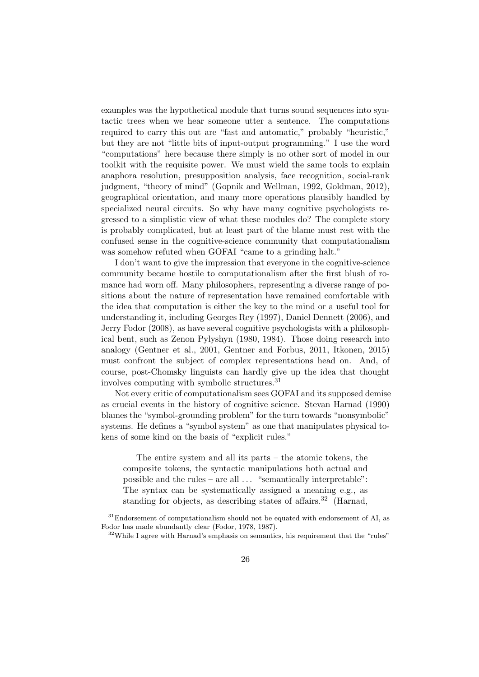examples was the hypothetical module that turns sound sequences into syntactic trees when we hear someone utter a sentence. The computations required to carry this out are "fast and automatic," probably "heuristic," but they are not "little bits of input-output programming." I use the word "computations" here because there simply is no other sort of model in our toolkit with the requisite power. We must wield the same tools to explain anaphora resolution, presupposition analysis, face recognition, social-rank judgment, "theory of mind" (Gopnik and Wellman, 1992, Goldman, 2012), geographical orientation, and many more operations plausibly handled by specialized neural circuits. So why have many cognitive psychologists regressed to a simplistic view of what these modules do? The complete story is probably complicated, but at least part of the blame must rest with the confused sense in the cognitive-science community that computationalism was somehow refuted when GOFAI "came to a grinding halt."

I don't want to give the impression that everyone in the cognitive-science community became hostile to computationalism after the first blush of romance had worn off. Many philosophers, representing a diverse range of positions about the nature of representation have remained comfortable with the idea that computation is either the key to the mind or a useful tool for understanding it, including Georges Rey (1997), Daniel Dennett (2006), and Jerry Fodor (2008), as have several cognitive psychologists with a philosophical bent, such as Zenon Pylyshyn (1980, 1984). Those doing research into analogy (Gentner et al., 2001, Gentner and Forbus, 2011, Itkonen, 2015) must confront the subject of complex representations head on. And, of course, post-Chomsky linguists can hardly give up the idea that thought involves computing with symbolic structures.<sup>31</sup>

Not every critic of computationalism sees GOFAI and its supposed demise as crucial events in the history of cognitive science. Stevan Harnad (1990) blames the "symbol-grounding problem" for the turn towards "nonsymbolic" systems. He defines a "symbol system" as one that manipulates physical tokens of some kind on the basis of "explicit rules."

The entire system and all its parts – the atomic tokens, the composite tokens, the syntactic manipulations both actual and possible and the rules – are all . . . "semantically interpretable": The syntax can be systematically assigned a meaning e.g., as standing for objects, as describing states of affairs.<sup>32</sup> (Harnad,

 $31$ Endorsement of computationalism should not be equated with endorsement of AI, as Fodor has made abundantly clear (Fodor, 1978, 1987).

<sup>&</sup>lt;sup>32</sup>While I agree with Harnad's emphasis on semantics, his requirement that the "rules"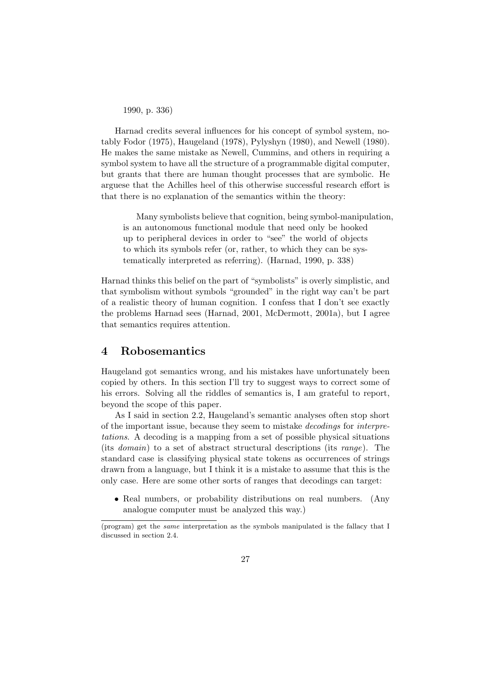1990, p. 336)

Harnad credits several influences for his concept of symbol system, notably Fodor (1975), Haugeland (1978), Pylyshyn (1980), and Newell (1980). He makes the same mistake as Newell, Cummins, and others in requiring a symbol system to have all the structure of a programmable digital computer, but grants that there are human thought processes that are symbolic. He arguese that the Achilles heel of this otherwise successful research effort is that there is no explanation of the semantics within the theory:

Many symbolists believe that cognition, being symbol-manipulation, is an autonomous functional module that need only be hooked up to peripheral devices in order to "see" the world of objects to which its symbols refer (or, rather, to which they can be systematically interpreted as referring). (Harnad, 1990, p. 338)

Harnad thinks this belief on the part of "symbolists" is overly simplistic, and that symbolism without symbols "grounded" in the right way can't be part of a realistic theory of human cognition. I confess that I don't see exactly the problems Harnad sees (Harnad, 2001, McDermott, 2001a), but I agree that semantics requires attention.

### 4 Robosemantics

Haugeland got semantics wrong, and his mistakes have unfortunately been copied by others. In this section I'll try to suggest ways to correct some of his errors. Solving all the riddles of semantics is, I am grateful to report, beyond the scope of this paper.

As I said in section 2.2, Haugeland's semantic analyses often stop short of the important issue, because they seem to mistake decodings for interpretations. A decoding is a mapping from a set of possible physical situations (its domain) to a set of abstract structural descriptions (its range). The standard case is classifying physical state tokens as occurrences of strings drawn from a language, but I think it is a mistake to assume that this is the only case. Here are some other sorts of ranges that decodings can target:

• Real numbers, or probability distributions on real numbers. (Any analogue computer must be analyzed this way.)

<sup>(</sup>program) get the same interpretation as the symbols manipulated is the fallacy that I discussed in section 2.4.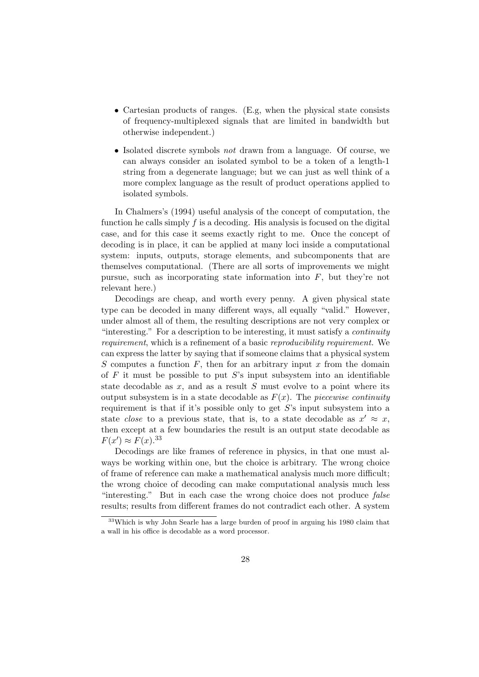- Cartesian products of ranges. (E.g, when the physical state consists of frequency-multiplexed signals that are limited in bandwidth but otherwise independent.)
- Isolated discrete symbols *not* drawn from a language. Of course, we can always consider an isolated symbol to be a token of a length-1 string from a degenerate language; but we can just as well think of a more complex language as the result of product operations applied to isolated symbols.

In Chalmers's (1994) useful analysis of the concept of computation, the function he calls simply  $f$  is a decoding. His analysis is focused on the digital case, and for this case it seems exactly right to me. Once the concept of decoding is in place, it can be applied at many loci inside a computational system: inputs, outputs, storage elements, and subcomponents that are themselves computational. (There are all sorts of improvements we might pursue, such as incorporating state information into  $F$ , but they're not relevant here.)

Decodings are cheap, and worth every penny. A given physical state type can be decoded in many different ways, all equally "valid." However, under almost all of them, the resulting descriptions are not very complex or "interesting." For a description to be interesting, it must satisfy a continuity requirement, which is a refinement of a basic reproducibility requirement. We can express the latter by saying that if someone claims that a physical system S computes a function  $F$ , then for an arbitrary input  $x$  from the domain of  $F$  it must be possible to put  $S$ 's input subsystem into an identifiable state decodable as  $x$ , and as a result  $S$  must evolve to a point where its output subsystem is in a state decodable as  $F(x)$ . The piecewise continuity requirement is that if it's possible only to get  $S$ 's input subsystem into a state *close* to a previous state, that is, to a state decodable as  $x' \approx x$ , then except at a few boundaries the result is an output state decodable as  $F(x') \approx F(x).^{33}$ 

Decodings are like frames of reference in physics, in that one must always be working within one, but the choice is arbitrary. The wrong choice of frame of reference can make a mathematical analysis much more difficult; the wrong choice of decoding can make computational analysis much less "interesting." But in each case the wrong choice does not produce false results; results from different frames do not contradict each other. A system

<sup>33</sup>Which is why John Searle has a large burden of proof in arguing his 1980 claim that a wall in his office is decodable as a word processor.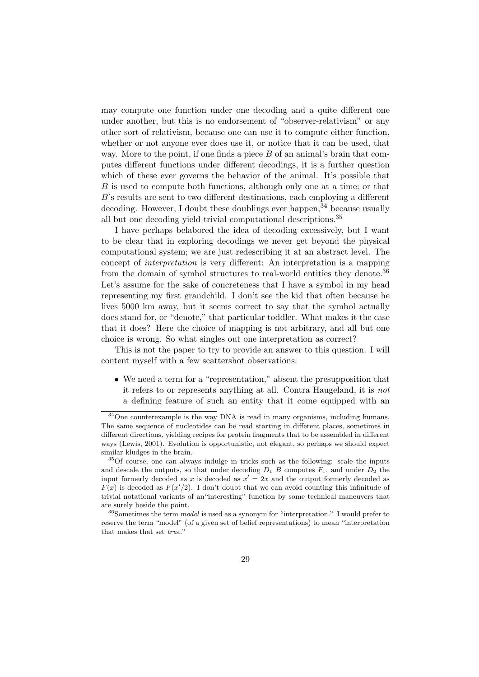may compute one function under one decoding and a quite different one under another, but this is no endorsement of "observer-relativism" or any other sort of relativism, because one can use it to compute either function, whether or not anyone ever does use it, or notice that it can be used, that way. More to the point, if one finds a piece  $B$  of an animal's brain that computes different functions under different decodings, it is a further question which of these ever governs the behavior of the animal. It's possible that B is used to compute both functions, although only one at a time; or that B's results are sent to two different destinations, each employing a different decoding. However, I doubt these doublings ever happen,  $34$  because usually all but one decoding yield trivial computational descriptions.<sup>35</sup>

I have perhaps belabored the idea of decoding excessively, but I want to be clear that in exploring decodings we never get beyond the physical computational system; we are just redescribing it at an abstract level. The concept of interpretation is very different: An interpretation is a mapping from the domain of symbol structures to real-world entities they denote.<sup>36</sup> Let's assume for the sake of concreteness that I have a symbol in my head representing my first grandchild. I don't see the kid that often because he lives 5000 km away, but it seems correct to say that the symbol actually does stand for, or "denote," that particular toddler. What makes it the case that it does? Here the choice of mapping is not arbitrary, and all but one choice is wrong. So what singles out one interpretation as correct?

This is not the paper to try to provide an answer to this question. I will content myself with a few scattershot observations:

• We need a term for a "representation," absent the presupposition that it refers to or represents anything at all. Contra Haugeland, it is not a defining feature of such an entity that it come equipped with an

<sup>34</sup>One counterexample is the way DNA is read in many organisms, including humans. The same sequence of nucleotides can be read starting in different places, sometimes in different directions, yielding recipes for protein fragments that to be assembled in different ways (Lewis, 2001). Evolution is opportunistic, not elegant, so perhaps we should expect similar kludges in the brain.

<sup>35</sup>Of course, one can always indulge in tricks such as the following: scale the inputs and descale the outputs, so that under decoding  $D_1$  B computes  $F_1$ , and under  $D_2$  the input formerly decoded as x is decoded as  $x' = 2x$  and the output formerly decoded as  $F(x)$  is decoded as  $F(x'/2)$ . I don't doubt that we can avoid counting this infinitude of trivial notational variants of an"interesting" function by some technical maneuvers that are surely beside the point.

 $36$ Sometimes the term *model* is used as a synonym for "interpretation." I would prefer to reserve the term "model" (of a given set of belief representations) to mean "interpretation that makes that set true."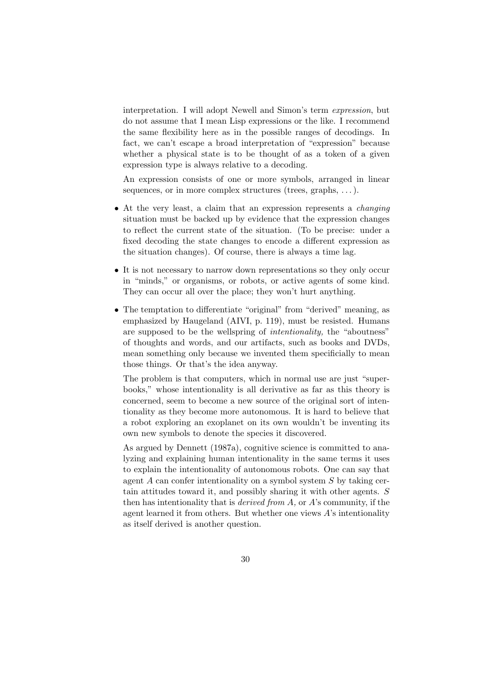interpretation. I will adopt Newell and Simon's term expression, but do not assume that I mean Lisp expressions or the like. I recommend the same flexibility here as in the possible ranges of decodings. In fact, we can't escape a broad interpretation of "expression" because whether a physical state is to be thought of as a token of a given expression type is always relative to a decoding.

An expression consists of one or more symbols, arranged in linear sequences, or in more complex structures (trees, graphs, ...).

- At the very least, a claim that an expression represents a *changing* situation must be backed up by evidence that the expression changes to reflect the current state of the situation. (To be precise: under a fixed decoding the state changes to encode a different expression as the situation changes). Of course, there is always a time lag.
- It is not necessary to narrow down representations so they only occur in "minds," or organisms, or robots, or active agents of some kind. They can occur all over the place; they won't hurt anything.
- The temptation to differentiate "original" from "derived" meaning, as emphasized by Haugeland (AIVI, p. 119), must be resisted. Humans are supposed to be the wellspring of intentionality, the "aboutness" of thoughts and words, and our artifacts, such as books and DVDs, mean something only because we invented them specificially to mean those things. Or that's the idea anyway.

The problem is that computers, which in normal use are just "superbooks," whose intentionality is all derivative as far as this theory is concerned, seem to become a new source of the original sort of intentionality as they become more autonomous. It is hard to believe that a robot exploring an exoplanet on its own wouldn't be inventing its own new symbols to denote the species it discovered.

As argued by Dennett (1987a), cognitive science is committed to analyzing and explaining human intentionality in the same terms it uses to explain the intentionality of autonomous robots. One can say that agent  $A$  can confer intentionality on a symbol system  $S$  by taking certain attitudes toward it, and possibly sharing it with other agents. S then has intentionality that is *derived from A*, or  $A$ 's community, if the agent learned it from others. But whether one views A's intentionality as itself derived is another question.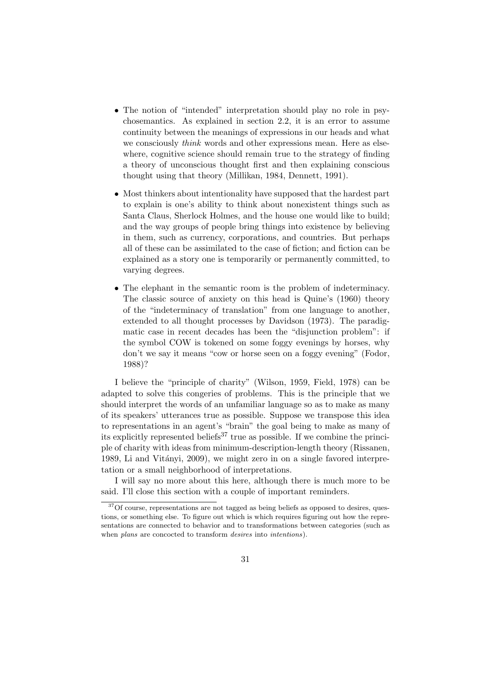- The notion of "intended" interpretation should play no role in psychosemantics. As explained in section 2.2, it is an error to assume continuity between the meanings of expressions in our heads and what we consciously *think* words and other expressions mean. Here as elsewhere, cognitive science should remain true to the strategy of finding a theory of unconscious thought first and then explaining conscious thought using that theory (Millikan, 1984, Dennett, 1991).
- Most thinkers about intentionality have supposed that the hardest part to explain is one's ability to think about nonexistent things such as Santa Claus, Sherlock Holmes, and the house one would like to build; and the way groups of people bring things into existence by believing in them, such as currency, corporations, and countries. But perhaps all of these can be assimilated to the case of fiction; and fiction can be explained as a story one is temporarily or permanently committed, to varying degrees.
- The elephant in the semantic room is the problem of indeterminacy. The classic source of anxiety on this head is Quine's (1960) theory of the "indeterminacy of translation" from one language to another, extended to all thought processes by Davidson (1973). The paradigmatic case in recent decades has been the "disjunction problem": if the symbol COW is tokened on some foggy evenings by horses, why don't we say it means "cow or horse seen on a foggy evening" (Fodor, 1988)?

I believe the "principle of charity" (Wilson, 1959, Field, 1978) can be adapted to solve this congeries of problems. This is the principle that we should interpret the words of an unfamiliar language so as to make as many of its speakers' utterances true as possible. Suppose we transpose this idea to representations in an agent's "brain" the goal being to make as many of its explicitly represented beliefs<sup>37</sup> true as possible. If we combine the principle of charity with ideas from minimum-description-length theory (Rissanen, 1989, Li and Vitányi, 2009), we might zero in on a single favored interpretation or a small neighborhood of interpretations.

I will say no more about this here, although there is much more to be said. I'll close this section with a couple of important reminders.

<sup>&</sup>lt;sup>37</sup>Of course, representations are not tagged as being beliefs as opposed to desires, questions, or something else. To figure out which is which requires figuring out how the representations are connected to behavior and to transformations between categories (such as when *plans* are concocted to transform *desires* into *intentions*).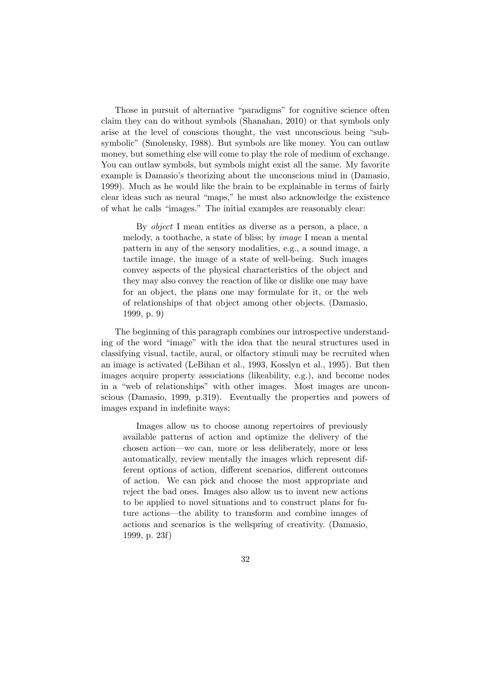Those in pursuit of alternative "paradigms" for cognitive science often claim they can do without symbols (Shanahan, 2010) or that symbols only arise at the level of conscious thought, the vast unconscious being "subsymbolic" (Smolensky, 1988). But symbols are like money. You can outlaw money, but something else will come to play the role of medium of exchange. You can outlaw symbols, but symbols might exist all the same. My favorite example is Damasio's theorizing about the unconscious mind in (Damasio, 1999). Much as he would like the brain to be explainable in terms of fairly clear ideas such as neural "maps," he must also acknowledge the existence of what he calls "images." The initial examples are reasonably clear:

By object I mean entities as diverse as a person, a place, a melody, a toothache, a state of bliss; by image I mean a mental pattern in any of the sensory modalities, e.g., a sound image, a tactile image, the image of a state of well-being. Such images convey aspects of the physical characteristics of the object and they may also convey the reaction of like or dislike one may have for an object, the plans one may formulate for it, or the web of relationships of that object among other objects. (Damasio, 1999, p. 9)

The beginning of this paragraph combines our introspective understanding of the word "image" with the idea that the neural structures used in classifying visual, tactile, aural, or olfactory stimuli may be recruited when an image is activated (LeBihan et al., 1993, Kosslyn et al., 1995). But then images acquire property associations (likeability, e.g.), and become nodes in a "web of relationships" with other images. Most images are unconscious (Damasio, 1999, p.319). Eventually the properties and powers of images expand in indefinite ways:

Images allow us to choose among repertoires of previously available patterns of action and optimize the delivery of the chosen action—we can, more or less deliberately, more or less automatically, review mentally the images which represent different options of action, different scenarios, different outcomes of action. We can pick and choose the most appropriate and reject the bad ones. Images also allow us to invent new actions to be applied to novel situations and to construct plans for future actions—the ability to transform and combine images of actions and scenarios is the wellspring of creativity. (Damasio, 1999, p. 23f)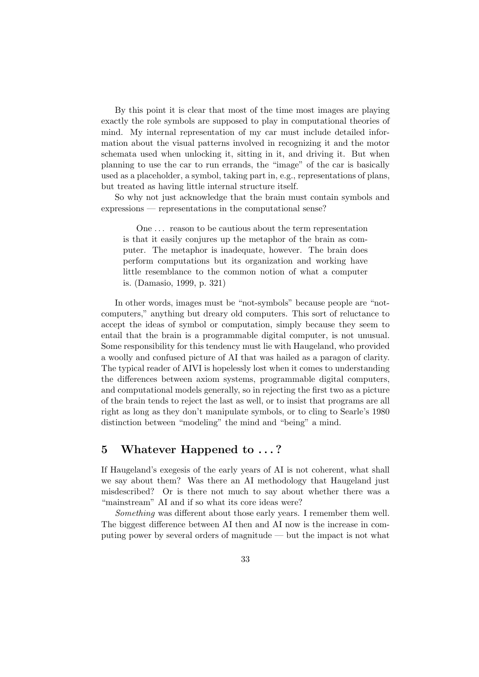By this point it is clear that most of the time most images are playing exactly the role symbols are supposed to play in computational theories of mind. My internal representation of my car must include detailed information about the visual patterns involved in recognizing it and the motor schemata used when unlocking it, sitting in it, and driving it. But when planning to use the car to run errands, the "image" of the car is basically used as a placeholder, a symbol, taking part in, e.g., representations of plans, but treated as having little internal structure itself.

So why not just acknowledge that the brain must contain symbols and expressions — representations in the computational sense?

One . . . reason to be cautious about the term representation is that it easily conjures up the metaphor of the brain as computer. The metaphor is inadequate, however. The brain does perform computations but its organization and working have little resemblance to the common notion of what a computer is. (Damasio, 1999, p. 321)

In other words, images must be "not-symbols" because people are "notcomputers," anything but dreary old computers. This sort of reluctance to accept the ideas of symbol or computation, simply because they seem to entail that the brain is a programmable digital computer, is not unusual. Some responsibility for this tendency must lie with Haugeland, who provided a woolly and confused picture of AI that was hailed as a paragon of clarity. The typical reader of AIVI is hopelessly lost when it comes to understanding the differences between axiom systems, programmable digital computers, and computational models generally, so in rejecting the first two as a picture of the brain tends to reject the last as well, or to insist that programs are all right as long as they don't manipulate symbols, or to cling to Searle's 1980 distinction between "modeling" the mind and "being" a mind.

## 5 Whatever Happened to . . . ?

If Haugeland's exegesis of the early years of AI is not coherent, what shall we say about them? Was there an AI methodology that Haugeland just misdescribed? Or is there not much to say about whether there was a "mainstream" AI and if so what its core ideas were?

Something was different about those early years. I remember them well. The biggest difference between AI then and AI now is the increase in computing power by several orders of magnitude — but the impact is not what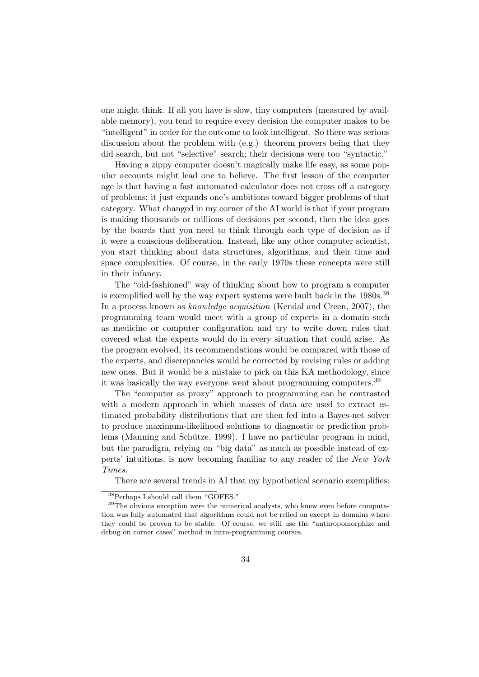one might think. If all you have is slow, tiny computers (measured by available memory), you tend to require every decision the computer makes to be "intelligent" in order for the outcome to look intelligent. So there was serious discussion about the problem with (e.g.) theorem provers being that they did search, but not "selective" search; their decisions were too "syntactic."

Having a zippy computer doesn't magically make life easy, as some popular accounts might lead one to believe. The first lesson of the computer age is that having a fast automated calculator does not cross off a category of problems; it just expands one's ambitions toward bigger problems of that category. What changed in my corner of the AI world is that if your program is making thousands or millions of decisions per second, then the idea goes by the boards that you need to think through each type of decision as if it were a conscious deliberation. Instead, like any other computer scientist, you start thinking about data structures, algorithms, and their time and space complexities. Of course, in the early 1970s these concepts were still in their infancy.

The "old-fashioned" way of thinking about how to program a computer is exemplified well by the way expert systems were built back in the 1980s.<sup>38</sup> In a process known as knowledge acquisition (Kendal and Creen, 2007), the programming team would meet with a group of experts in a domain such as medicine or computer configuration and try to write down rules that covered what the experts would do in every situation that could arise. As the program evolved, its recommendations would be compared with those of the experts, and discrepancies would be corrected by revising rules or adding new ones. But it would be a mistake to pick on this KA methodology, since it was basically the way everyone went about programming computers.<sup>39</sup>

The "computer as proxy" approach to programming can be contrasted with a modern approach in which masses of data are used to extract estimated probability distributions that are then fed into a Bayes-net solver to produce maximum-likelihood solutions to diagnostic or prediction problems (Manning and Schütze, 1999). I have no particular program in mind, but the paradigm, relying on "big data" as much as possible instead of experts' intuitions, is now becoming familiar to any reader of the New York Times.

There are several trends in AI that my hypothetical scenario exemplifies:

<sup>38</sup>Perhaps I should call them "GOFES."

<sup>&</sup>lt;sup>39</sup>The obvious exception were the numerical analysts, who knew even before computation was fully automated that algorithms could not be relied on except in domains where they could be proven to be stable. Of course, we still use the "anthropomorphize and debug on corner cases" method in intro-programming courses.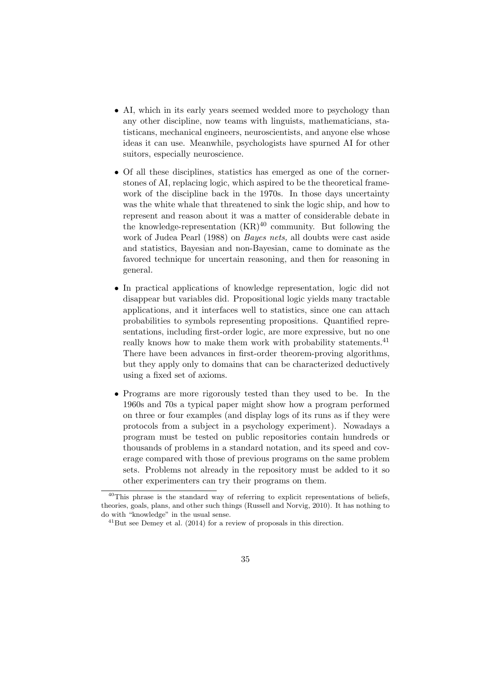- AI, which in its early years seemed wedded more to psychology than any other discipline, now teams with linguists, mathematicians, statisticans, mechanical engineers, neuroscientists, and anyone else whose ideas it can use. Meanwhile, psychologists have spurned AI for other suitors, especially neuroscience.
- Of all these disciplines, statistics has emerged as one of the cornerstones of AI, replacing logic, which aspired to be the theoretical framework of the discipline back in the 1970s. In those days uncertainty was the white whale that threatened to sink the logic ship, and how to represent and reason about it was a matter of considerable debate in the knowledge-representation  $(KR)^{40}$  community. But following the work of Judea Pearl (1988) on Bayes nets, all doubts were cast aside and statistics, Bayesian and non-Bayesian, came to dominate as the favored technique for uncertain reasoning, and then for reasoning in general.
- In practical applications of knowledge representation, logic did not disappear but variables did. Propositional logic yields many tractable applications, and it interfaces well to statistics, since one can attach probabilities to symbols representing propositions. Quantified representations, including first-order logic, are more expressive, but no one really knows how to make them work with probability statements.<sup>41</sup> There have been advances in first-order theorem-proving algorithms, but they apply only to domains that can be characterized deductively using a fixed set of axioms.
- Programs are more rigorously tested than they used to be. In the 1960s and 70s a typical paper might show how a program performed on three or four examples (and display logs of its runs as if they were protocols from a subject in a psychology experiment). Nowadays a program must be tested on public repositories contain hundreds or thousands of problems in a standard notation, and its speed and coverage compared with those of previous programs on the same problem sets. Problems not already in the repository must be added to it so other experimenters can try their programs on them.

 $^{40}$ This phrase is the standard way of referring to explicit representations of beliefs, theories, goals, plans, and other such things (Russell and Norvig, 2010). It has nothing to do with "knowledge" in the usual sense.

 $^{41}$ But see Demey et al. (2014) for a review of proposals in this direction.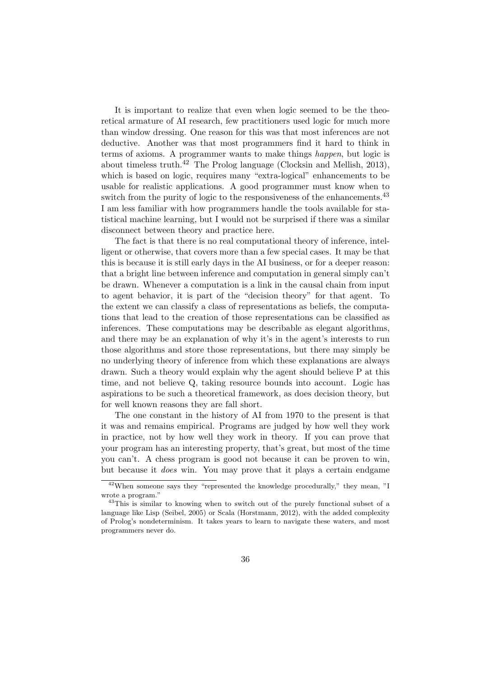It is important to realize that even when logic seemed to be the theoretical armature of AI research, few practitioners used logic for much more than window dressing. One reason for this was that most inferences are not deductive. Another was that most programmers find it hard to think in terms of axioms. A programmer wants to make things happen, but logic is about timeless truth.<sup>42</sup> The Prolog language (Clocksin and Mellish, 2013), which is based on logic, requires many "extra-logical" enhancements to be usable for realistic applications. A good programmer must know when to switch from the purity of logic to the responsiveness of the enhancements.<sup>43</sup> I am less familiar with how programmers handle the tools available for statistical machine learning, but I would not be surprised if there was a similar disconnect between theory and practice here.

The fact is that there is no real computational theory of inference, intelligent or otherwise, that covers more than a few special cases. It may be that this is because it is still early days in the AI business, or for a deeper reason: that a bright line between inference and computation in general simply can't be drawn. Whenever a computation is a link in the causal chain from input to agent behavior, it is part of the "decision theory" for that agent. To the extent we can classify a class of representations as beliefs, the computations that lead to the creation of those representations can be classified as inferences. These computations may be describable as elegant algorithms, and there may be an explanation of why it's in the agent's interests to run those algorithms and store those representations, but there may simply be no underlying theory of inference from which these explanations are always drawn. Such a theory would explain why the agent should believe P at this time, and not believe Q, taking resource bounds into account. Logic has aspirations to be such a theoretical framework, as does decision theory, but for well known reasons they are fall short.

The one constant in the history of AI from 1970 to the present is that it was and remains empirical. Programs are judged by how well they work in practice, not by how well they work in theory. If you can prove that your program has an interesting property, that's great, but most of the time you can't. A chess program is good not because it can be proven to win, but because it does win. You may prove that it plays a certain endgame

<sup>42</sup>When someone says they "represented the knowledge procedurally," they mean, "I wrote a program."

<sup>&</sup>lt;sup>43</sup>This is similar to knowing when to switch out of the purely functional subset of a language like Lisp (Seibel, 2005) or Scala (Horstmann, 2012), with the added complexity of Prolog's nondeterminism. It takes years to learn to navigate these waters, and most programmers never do.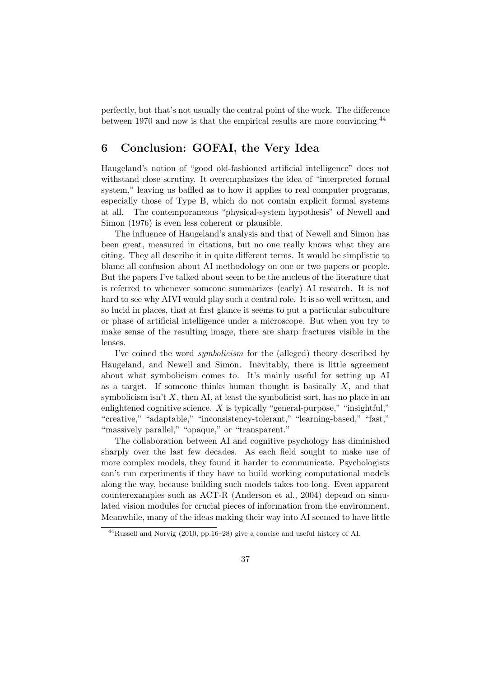perfectly, but that's not usually the central point of the work. The difference between 1970 and now is that the empirical results are more convincing.<sup>44</sup>

# 6 Conclusion: GOFAI, the Very Idea

Haugeland's notion of "good old-fashioned artificial intelligence" does not withstand close scrutiny. It overemphasizes the idea of "interpreted formal system," leaving us baffled as to how it applies to real computer programs, especially those of Type B, which do not contain explicit formal systems at all. The contemporaneous "physical-system hypothesis" of Newell and Simon (1976) is even less coherent or plausible.

The influence of Haugeland's analysis and that of Newell and Simon has been great, measured in citations, but no one really knows what they are citing. They all describe it in quite different terms. It would be simplistic to blame all confusion about AI methodology on one or two papers or people. But the papers I've talked about seem to be the nucleus of the literature that is referred to whenever someone summarizes (early) AI research. It is not hard to see why AIVI would play such a central role. It is so well written, and so lucid in places, that at first glance it seems to put a particular subculture or phase of artificial intelligence under a microscope. But when you try to make sense of the resulting image, there are sharp fractures visible in the lenses.

I've coined the word symbolicism for the (alleged) theory described by Haugeland, and Newell and Simon. Inevitably, there is little agreement about what symbolicism comes to. It's mainly useful for setting up AI as a target. If someone thinks human thought is basically  $X$ , and that symbolicism isn't  $X$ , then AI, at least the symbolicist sort, has no place in an enlightened cognitive science.  $X$  is typically "general-purpose," "insightful," "creative," "adaptable," "inconsistency-tolerant," "learning-based," "fast," "massively parallel," "opaque," or "transparent."

The collaboration between AI and cognitive psychology has diminished sharply over the last few decades. As each field sought to make use of more complex models, they found it harder to communicate. Psychologists can't run experiments if they have to build working computational models along the way, because building such models takes too long. Even apparent counterexamples such as ACT-R (Anderson et al., 2004) depend on simulated vision modules for crucial pieces of information from the environment. Meanwhile, many of the ideas making their way into AI seemed to have little

 $^{44}$ Russell and Norvig (2010, pp.16–28) give a concise and useful history of AI.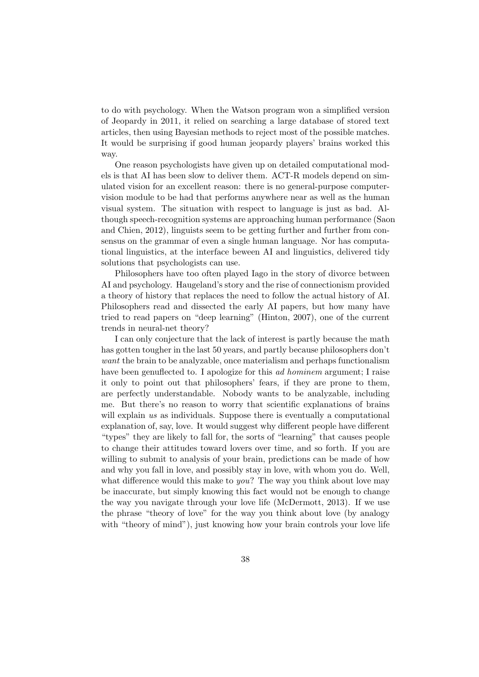to do with psychology. When the Watson program won a simplified version of Jeopardy in 2011, it relied on searching a large database of stored text articles, then using Bayesian methods to reject most of the possible matches. It would be surprising if good human jeopardy players' brains worked this way.

One reason psychologists have given up on detailed computational models is that AI has been slow to deliver them. ACT-R models depend on simulated vision for an excellent reason: there is no general-purpose computervision module to be had that performs anywhere near as well as the human visual system. The situation with respect to language is just as bad. Although speech-recognition systems are approaching human performance (Saon and Chien, 2012), linguists seem to be getting further and further from consensus on the grammar of even a single human language. Nor has computational linguistics, at the interface beween AI and linguistics, delivered tidy solutions that psychologists can use.

Philosophers have too often played Iago in the story of divorce between AI and psychology. Haugeland's story and the rise of connectionism provided a theory of history that replaces the need to follow the actual history of AI. Philosophers read and dissected the early AI papers, but how many have tried to read papers on "deep learning" (Hinton, 2007), one of the current trends in neural-net theory?

I can only conjecture that the lack of interest is partly because the math has gotten tougher in the last 50 years, and partly because philosophers don't want the brain to be analyzable, once materialism and perhaps functionalism have been genuflected to. I apologize for this *ad hominem* argument; I raise it only to point out that philosophers' fears, if they are prone to them, are perfectly understandable. Nobody wants to be analyzable, including me. But there's no reason to worry that scientific explanations of brains will explain us as individuals. Suppose there is eventually a computational explanation of, say, love. It would suggest why different people have different "types" they are likely to fall for, the sorts of "learning" that causes people to change their attitudes toward lovers over time, and so forth. If you are willing to submit to analysis of your brain, predictions can be made of how and why you fall in love, and possibly stay in love, with whom you do. Well, what difference would this make to *you*? The way you think about love may be inaccurate, but simply knowing this fact would not be enough to change the way you navigate through your love life (McDermott, 2013). If we use the phrase "theory of love" for the way you think about love (by analogy with "theory of mind"), just knowing how your brain controls your love life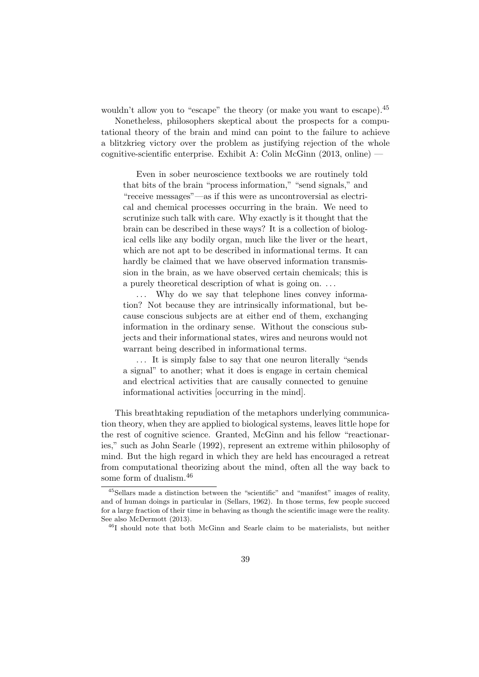wouldn't allow you to "escape" the theory (or make you want to escape).<sup>45</sup>

Nonetheless, philosophers skeptical about the prospects for a computational theory of the brain and mind can point to the failure to achieve a blitzkrieg victory over the problem as justifying rejection of the whole cognitive-scientific enterprise. Exhibit A: Colin McGinn (2013, online) —

Even in sober neuroscience textbooks we are routinely told that bits of the brain "process information," "send signals," and "receive messages"—as if this were as uncontroversial as electrical and chemical processes occurring in the brain. We need to scrutinize such talk with care. Why exactly is it thought that the brain can be described in these ways? It is a collection of biological cells like any bodily organ, much like the liver or the heart, which are not apt to be described in informational terms. It can hardly be claimed that we have observed information transmission in the brain, as we have observed certain chemicals; this is a purely theoretical description of what is going on. . . .

... Why do we say that telephone lines convey information? Not because they are intrinsically informational, but because conscious subjects are at either end of them, exchanging information in the ordinary sense. Without the conscious subjects and their informational states, wires and neurons would not warrant being described in informational terms.

. . . It is simply false to say that one neuron literally "sends a signal" to another; what it does is engage in certain chemical and electrical activities that are causally connected to genuine informational activities [occurring in the mind].

This breathtaking repudiation of the metaphors underlying communication theory, when they are applied to biological systems, leaves little hope for the rest of cognitive science. Granted, McGinn and his fellow "reactionaries," such as John Searle (1992), represent an extreme within philosophy of mind. But the high regard in which they are held has encouraged a retreat from computational theorizing about the mind, often all the way back to some form of dualism.<sup>46</sup>

<sup>45</sup>Sellars made a distinction between the "scientific" and "manifest" images of reality, and of human doings in particular in (Sellars, 1962). In those terms, few people succeed for a large fraction of their time in behaving as though the scientific image were the reality. See also McDermott (2013).

<sup>46</sup>I should note that both McGinn and Searle claim to be materialists, but neither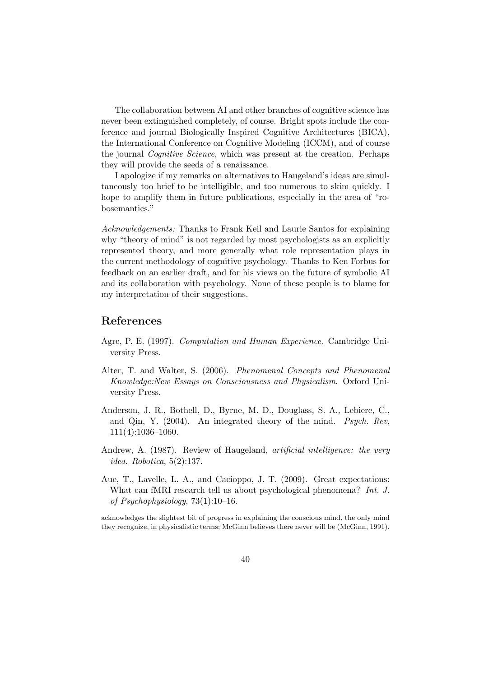The collaboration between AI and other branches of cognitive science has never been extinguished completely, of course. Bright spots include the conference and journal Biologically Inspired Cognitive Architectures (BICA), the International Conference on Cognitive Modeling (ICCM), and of course the journal Cognitive Science, which was present at the creation. Perhaps they will provide the seeds of a renaissance.

I apologize if my remarks on alternatives to Haugeland's ideas are simultaneously too brief to be intelligible, and too numerous to skim quickly. I hope to amplify them in future publications, especially in the area of "robosemantics."

Acknowledgements: Thanks to Frank Keil and Laurie Santos for explaining why "theory of mind" is not regarded by most psychologists as an explicitly represented theory, and more generally what role representation plays in the current methodology of cognitive psychology. Thanks to Ken Forbus for feedback on an earlier draft, and for his views on the future of symbolic AI and its collaboration with psychology. None of these people is to blame for my interpretation of their suggestions.

### References

- Agre, P. E. (1997). Computation and Human Experience. Cambridge University Press.
- Alter, T. and Walter, S. (2006). Phenomenal Concepts and Phenomenal Knowledge:New Essays on Consciousness and Physicalism. Oxford University Press.
- Anderson, J. R., Bothell, D., Byrne, M. D., Douglass, S. A., Lebiere, C., and Qin, Y. (2004). An integrated theory of the mind. Psych. Rev, 111(4):1036–1060.
- Andrew, A. (1987). Review of Haugeland, artificial intelligence: the very idea. Robotica, 5(2):137.
- Aue, T., Lavelle, L. A., and Cacioppo, J. T. (2009). Great expectations: What can fMRI research tell us about psychological phenomena? Int. J. of Psychophysiology, 73(1):10–16.

acknowledges the slightest bit of progress in explaining the conscious mind, the only mind they recognize, in physicalistic terms; McGinn believes there never will be (McGinn, 1991).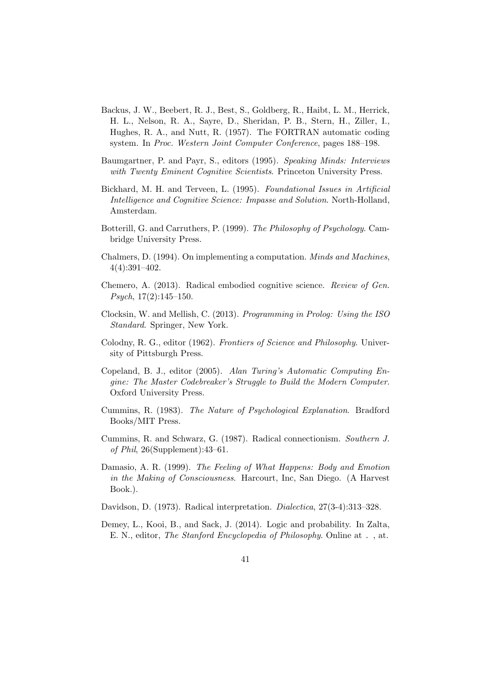- Backus, J. W., Beebert, R. J., Best, S., Goldberg, R., Haibt, L. M., Herrick, H. L., Nelson, R. A., Sayre, D., Sheridan, P. B., Stern, H., Ziller, I., Hughes, R. A., and Nutt, R. (1957). The FORTRAN automatic coding system. In Proc. Western Joint Computer Conference, pages 188–198.
- Baumgartner, P. and Payr, S., editors (1995). Speaking Minds: Interviews with Twenty Eminent Cognitive Scientists. Princeton University Press.
- Bickhard, M. H. and Terveen, L. (1995). Foundational Issues in Artificial Intelligence and Cognitive Science: Impasse and Solution. North-Holland, Amsterdam.
- Botterill, G. and Carruthers, P. (1999). The Philosophy of Psychology. Cambridge University Press.
- Chalmers, D. (1994). On implementing a computation. Minds and Machines, 4(4):391–402.
- Chemero, A. (2013). Radical embodied cognitive science. Review of Gen. Psych, 17(2):145–150.
- Clocksin, W. and Mellish, C. (2013). Programming in Prolog: Using the ISO Standard. Springer, New York.
- Colodny, R. G., editor (1962). Frontiers of Science and Philosophy. University of Pittsburgh Press.
- Copeland, B. J., editor (2005). Alan Turing's Automatic Computing Engine: The Master Codebreaker's Struggle to Build the Modern Computer. Oxford University Press.
- Cummins, R. (1983). The Nature of Psychological Explanation. Bradford Books/MIT Press.
- Cummins, R. and Schwarz, G. (1987). Radical connectionism. Southern J. of Phil, 26(Supplement):43–61.
- Damasio, A. R. (1999). The Feeling of What Happens: Body and Emotion in the Making of Consciousness. Harcourt, Inc, San Diego. (A Harvest Book.).
- Davidson, D. (1973). Radical interpretation. *Dialectica*, 27(3-4):313-328.
- Demey, L., Kooi, B., and Sack, J. (2014). Logic and probability. In Zalta, E. N., editor, The Stanford Encyclopedia of Philosophy. Online at . , at.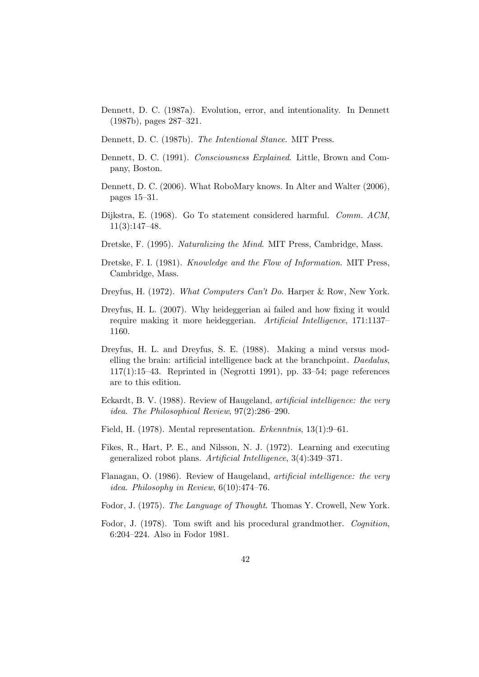- Dennett, D. C. (1987a). Evolution, error, and intentionality. In Dennett (1987b), pages 287–321.
- Dennett, D. C. (1987b). The Intentional Stance. MIT Press.
- Dennett, D. C. (1991). Consciousness Explained. Little, Brown and Company, Boston.
- Dennett, D. C. (2006). What RoboMary knows. In Alter and Walter (2006), pages 15–31.
- Dijkstra, E. (1968). Go To statement considered harmful. Comm. ACM, 11(3):147–48.
- Dretske, F. (1995). Naturalizing the Mind. MIT Press, Cambridge, Mass.
- Dretske, F. I. (1981). Knowledge and the Flow of Information. MIT Press, Cambridge, Mass.
- Dreyfus, H. (1972). What Computers Can't Do. Harper & Row, New York.
- Dreyfus, H. L. (2007). Why heideggerian ai failed and how fixing it would require making it more heideggerian. Artificial Intelligence, 171:1137– 1160.
- Dreyfus, H. L. and Dreyfus, S. E. (1988). Making a mind versus modelling the brain: artificial intelligence back at the branchpoint. Daedalus,  $117(1):15-43.$  Reprinted in (Negrotti 1991), pp. 33-54; page references are to this edition.
- Eckardt, B. V. (1988). Review of Haugeland, artificial intelligence: the very idea. The Philosophical Review, 97(2):286–290.
- Field, H. (1978). Mental representation. Erkenntnis, 13(1):9–61.
- Fikes, R., Hart, P. E., and Nilsson, N. J. (1972). Learning and executing generalized robot plans. Artificial Intelligence, 3(4):349–371.
- Flanagan, O. (1986). Review of Haugeland, artificial intelligence: the very idea. Philosophy in Review, 6(10):474–76.
- Fodor, J. (1975). The Language of Thought. Thomas Y. Crowell, New York.
- Fodor, J. (1978). Tom swift and his procedural grandmother. Cognition, 6:204–224. Also in Fodor 1981.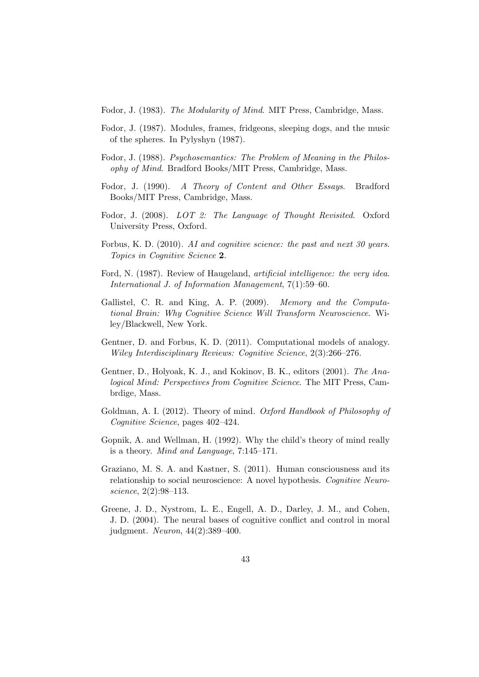Fodor, J. (1983). The Modularity of Mind. MIT Press, Cambridge, Mass.

- Fodor, J. (1987). Modules, frames, fridgeons, sleeping dogs, and the music of the spheres. In Pylyshyn (1987).
- Fodor, J. (1988). Psychosemantics: The Problem of Meaning in the Philosophy of Mind. Bradford Books/MIT Press, Cambridge, Mass.
- Fodor, J. (1990). A Theory of Content and Other Essays. Bradford Books/MIT Press, Cambridge, Mass.
- Fodor, J. (2008). LOT 2: The Language of Thought Revisited. Oxford University Press, Oxford.
- Forbus, K. D. (2010). AI and cognitive science: the past and next 30 years. Topics in Cognitive Science 2.
- Ford, N. (1987). Review of Haugeland, artificial intelligence: the very idea. International J. of Information Management, 7(1):59–60.
- Gallistel, C. R. and King, A. P. (2009). Memory and the Computational Brain: Why Cognitive Science Will Transform Neuroscience. Wiley/Blackwell, New York.
- Gentner, D. and Forbus, K. D. (2011). Computational models of analogy. Wiley Interdisciplinary Reviews: Cognitive Science, 2(3):266–276.
- Gentner, D., Holyoak, K. J., and Kokinov, B. K., editors (2001). The Analogical Mind: Perspectives from Cognitive Science. The MIT Press, Cambrdige, Mass.
- Goldman, A. I. (2012). Theory of mind. Oxford Handbook of Philosophy of Cognitive Science, pages 402–424.
- Gopnik, A. and Wellman, H. (1992). Why the child's theory of mind really is a theory. Mind and Language, 7:145–171.
- Graziano, M. S. A. and Kastner, S. (2011). Human consciousness and its relationship to social neuroscience: A novel hypothesis. Cognitive Neuroscience, 2(2):98–113.
- Greene, J. D., Nystrom, L. E., Engell, A. D., Darley, J. M., and Cohen, J. D. (2004). The neural bases of cognitive conflict and control in moral judgment. Neuron, 44(2):389–400.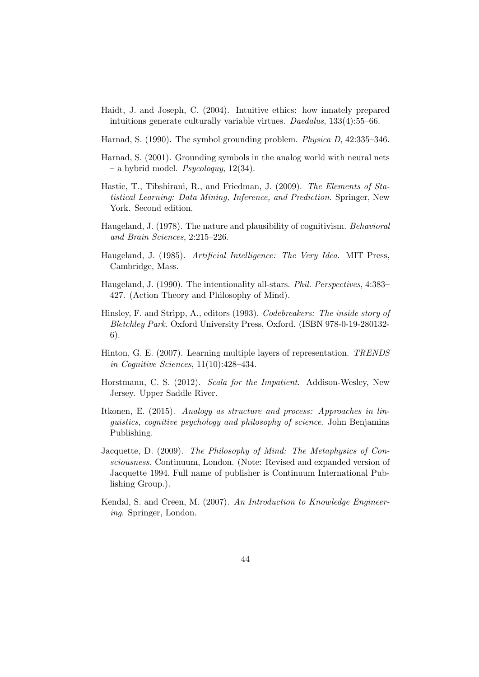- Haidt, J. and Joseph, C. (2004). Intuitive ethics: how innately prepared intuitions generate culturally variable virtues. Daedalus, 133(4):55–66.
- Harnad, S. (1990). The symbol grounding problem. Physica D, 42:335–346.
- Harnad, S. (2001). Grounding symbols in the analog world with neural nets – a hybrid model. Psycologuy,  $12(34)$ .
- Hastie, T., Tibshirani, R., and Friedman, J. (2009). The Elements of Statistical Learning: Data Mining, Inference, and Prediction. Springer, New York. Second edition.
- Haugeland, J. (1978). The nature and plausibility of cognitivism. Behavioral and Brain Sciences, 2:215–226.
- Haugeland, J. (1985). Artificial Intelligence: The Very Idea. MIT Press, Cambridge, Mass.
- Haugeland, J. (1990). The intentionality all-stars. Phil. Perspectives, 4:383– 427. (Action Theory and Philosophy of Mind).
- Hinsley, F. and Stripp, A., editors (1993). Codebreakers: The inside story of Bletchley Park. Oxford University Press, Oxford. (ISBN 978-0-19-280132- 6).
- Hinton, G. E. (2007). Learning multiple layers of representation. TRENDS in Cognitive Sciences, 11(10):428–434.
- Horstmann, C. S. (2012). Scala for the Impatient. Addison-Wesley, New Jersey. Upper Saddle River.
- Itkonen, E. (2015). Analogy as structure and process: Approaches in linguistics, cognitive psychology and philosophy of science. John Benjamins Publishing.
- Jacquette, D. (2009). The Philosophy of Mind: The Metaphysics of Consciousness. Continuum, London. (Note: Revised and expanded version of Jacquette 1994. Full name of publisher is Continuum International Publishing Group.).
- Kendal, S. and Creen, M. (2007). An Introduction to Knowledge Engineering. Springer, London.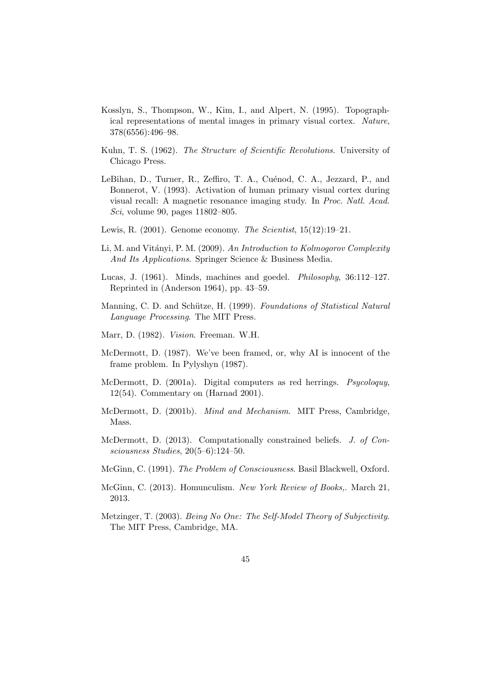- Kosslyn, S., Thompson, W., Kim, I., and Alpert, N. (1995). Topographical representations of mental images in primary visual cortex. Nature, 378(6556):496–98.
- Kuhn, T. S. (1962). The Structure of Scientific Revolutions. University of Chicago Press.
- LeBihan, D., Turner, R., Zeffiro, T. A., Cuénod, C. A., Jezzard, P., and Bonnerot, V. (1993). Activation of human primary visual cortex during visual recall: A magnetic resonance imaging study. In Proc. Natl. Acad. Sci, volume 90, pages 11802–805.
- Lewis, R.  $(2001)$ . Genome economy. The Scientist,  $15(12):19-21$ .
- Li, M. and Vitányi, P. M. (2009). An Introduction to Kolmogorov Complexity And Its Applications. Springer Science & Business Media.
- Lucas, J. (1961). Minds, machines and goedel. Philosophy, 36:112–127. Reprinted in (Anderson 1964), pp. 43–59.
- Manning, C. D. and Schütze, H. (1999). Foundations of Statistical Natural Language Processing. The MIT Press.
- Marr, D. (1982). Vision. Freeman. W.H.
- McDermott, D. (1987). We've been framed, or, why AI is innocent of the frame problem. In Pylyshyn (1987).
- McDermott, D. (2001a). Digital computers as red herrings. Psycoloquy, 12(54). Commentary on (Harnad 2001).
- McDermott, D. (2001b). Mind and Mechanism. MIT Press, Cambridge, Mass.
- McDermott, D. (2013). Computationally constrained beliefs. J. of Consciousness Studies, 20(5–6):124–50.
- McGinn, C. (1991). The Problem of Consciousness. Basil Blackwell, Oxford.
- McGinn, C. (2013). Homunculism. New York Review of Books,. March 21, 2013.
- Metzinger, T. (2003). Being No One: The Self-Model Theory of Subjectivity. The MIT Press, Cambridge, MA.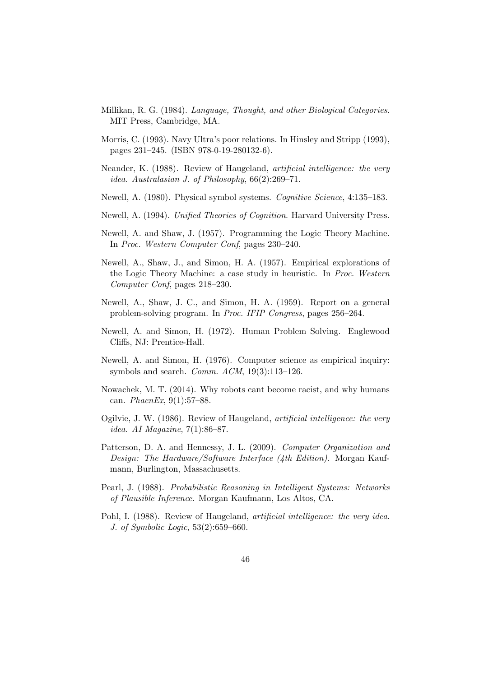- Millikan, R. G. (1984). Language, Thought, and other Biological Categories. MIT Press, Cambridge, MA.
- Morris, C. (1993). Navy Ultra's poor relations. In Hinsley and Stripp (1993), pages 231–245. (ISBN 978-0-19-280132-6).
- Neander, K. (1988). Review of Haugeland, *artificial intelligence: the very* idea. Australasian J. of Philosophy, 66(2):269–71.
- Newell, A. (1980). Physical symbol systems. Cognitive Science, 4:135–183.
- Newell, A. (1994). Unified Theories of Cognition. Harvard University Press.
- Newell, A. and Shaw, J. (1957). Programming the Logic Theory Machine. In Proc. Western Computer Conf, pages 230–240.
- Newell, A., Shaw, J., and Simon, H. A. (1957). Empirical explorations of the Logic Theory Machine: a case study in heuristic. In Proc. Western Computer Conf, pages 218–230.
- Newell, A., Shaw, J. C., and Simon, H. A. (1959). Report on a general problem-solving program. In Proc. IFIP Congress, pages 256–264.
- Newell, A. and Simon, H. (1972). Human Problem Solving. Englewood Cliffs, NJ: Prentice-Hall.
- Newell, A. and Simon, H. (1976). Computer science as empirical inquiry: symbols and search. *Comm.*  $ACM$ ,  $19(3):113-126$ .
- Nowachek, M. T. (2014). Why robots cant become racist, and why humans can. PhaenEx, 9(1):57–88.
- Ogilvie, J. W. (1986). Review of Haugeland, artificial intelligence: the very idea. AI Magazine, 7(1):86–87.
- Patterson, D. A. and Hennessy, J. L. (2009). Computer Organization and Design: The Hardware/Software Interface (4th Edition). Morgan Kaufmann, Burlington, Massachusetts.
- Pearl, J. (1988). Probabilistic Reasoning in Intelligent Systems: Networks of Plausible Inference. Morgan Kaufmann, Los Altos, CA.
- Pohl, I. (1988). Review of Haugeland, artificial intelligence: the very idea. J. of Symbolic Logic, 53(2):659–660.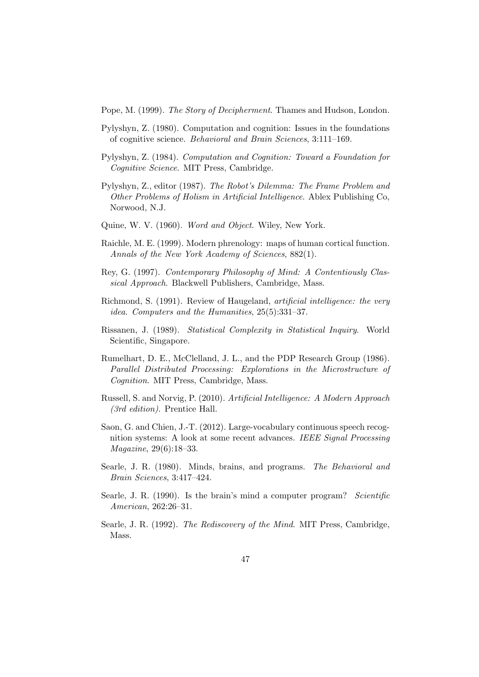Pope, M. (1999). The Story of Decipherment. Thames and Hudson, London.

- Pylyshyn, Z. (1980). Computation and cognition: Issues in the foundations of cognitive science. Behavioral and Brain Sciences, 3:111–169.
- Pylyshyn, Z. (1984). Computation and Cognition: Toward a Foundation for Cognitive Science. MIT Press, Cambridge.
- Pylyshyn, Z., editor (1987). The Robot's Dilemma: The Frame Problem and Other Problems of Holism in Artificial Intelligence. Ablex Publishing Co, Norwood, N.J.
- Quine, W. V. (1960). Word and Object. Wiley, New York.
- Raichle, M. E. (1999). Modern phrenology: maps of human cortical function. Annals of the New York Academy of Sciences, 882(1).
- Rey, G. (1997). Contemporary Philosophy of Mind: A Contentiously Classical Approach. Blackwell Publishers, Cambridge, Mass.
- Richmond, S. (1991). Review of Haugeland, artificial intelligence: the very idea. Computers and the Humanities, 25(5):331–37.
- Rissanen, J. (1989). Statistical Complexity in Statistical Inquiry. World Scientific, Singapore.
- Rumelhart, D. E., McClelland, J. L., and the PDP Research Group (1986). Parallel Distributed Processing: Explorations in the Microstructure of Cognition. MIT Press, Cambridge, Mass.
- Russell, S. and Norvig, P. (2010). Artificial Intelligence: A Modern Approach (3rd edition). Prentice Hall.
- Saon, G. and Chien, J.-T. (2012). Large-vocabulary continuous speech recognition systems: A look at some recent advances. IEEE Signal Processing Magazine, 29(6):18–33.
- Searle, J. R. (1980). Minds, brains, and programs. The Behavioral and Brain Sciences, 3:417–424.
- Searle, J. R. (1990). Is the brain's mind a computer program? Scientific American, 262:26–31.
- Searle, J. R. (1992). The Rediscovery of the Mind. MIT Press, Cambridge, Mass.